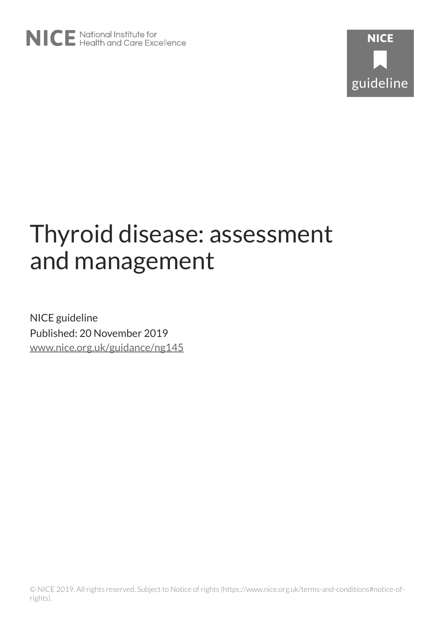

# Thyroid disease: assessment and management

NICE guideline Published: 20 November 2019 [www.nice.org.uk/guidance/ng145](https://www.nice.org.uk/guidance/ng145)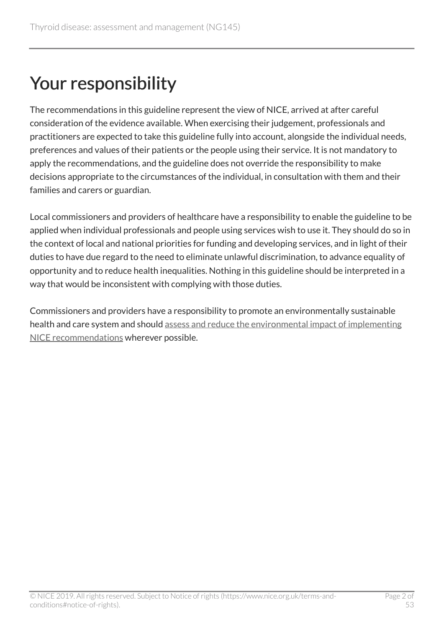# Your responsibility

The recommendations in this guideline represent the view of NICE, arrived at after careful consideration of the evidence available. When exercising their judgement, professionals and practitioners are expected to take this guideline fully into account, alongside the individual needs, preferences and values of their patients or the people using their service. It is not mandatory to apply the recommendations, and the guideline does not override the responsibility to make decisions appropriate to the circumstances of the individual, in consultation with them and their families and carers or guardian.

Local commissioners and providers of healthcare have a responsibility to enable the guideline to be applied when individual professionals and people using services wish to use it. They should do so in the context of local and national priorities for funding and developing services, and in light of their duties to have due regard to the need to eliminate unlawful discrimination, to advance equality of opportunity and to reduce health inequalities. Nothing in this guideline should be interpreted in a way that would be inconsistent with complying with those duties.

Commissioners and providers have a responsibility to promote an environmentally sustainable health and care system and should [assess and reduce the environmental impact of implementing](https://www.nice.org.uk/about/who-we-are/sustainability) [NICE recommendations](https://www.nice.org.uk/about/who-we-are/sustainability) wherever possible.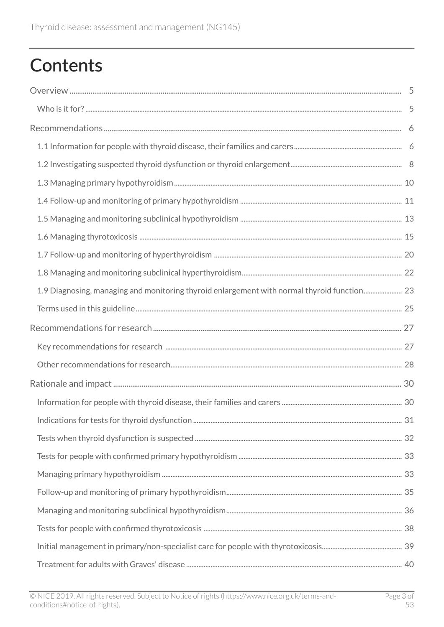# **Contents**

| 1.9 Diagnosing, managing and monitoring thyroid enlargement with normal thyroid function 23 |  |
|---------------------------------------------------------------------------------------------|--|
|                                                                                             |  |
|                                                                                             |  |
|                                                                                             |  |
|                                                                                             |  |
|                                                                                             |  |
|                                                                                             |  |
|                                                                                             |  |
|                                                                                             |  |
|                                                                                             |  |
|                                                                                             |  |
|                                                                                             |  |
|                                                                                             |  |
|                                                                                             |  |
|                                                                                             |  |
|                                                                                             |  |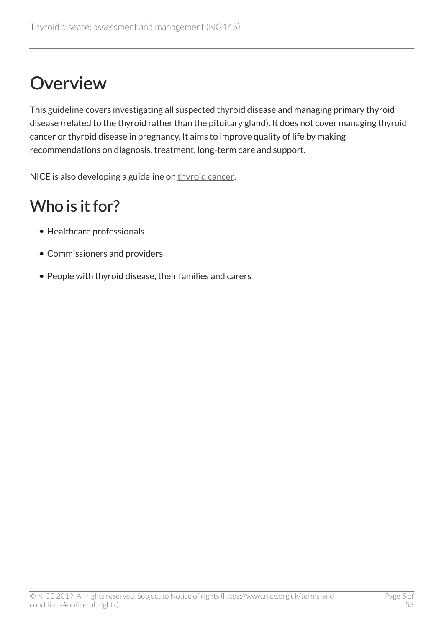# <span id="page-4-0"></span>**Overview**

This guideline covers investigating all suspected thyroid disease and managing primary thyroid disease (related to the thyroid rather than the pituitary gland). It does not cover managing thyroid cancer or thyroid disease in pregnancy. It aims to improve quality of life by making recommendations on diagnosis, treatment, long-term care and support.

NICE is also developing a guideline on [thyroid cancer](https://www.nice.org.uk/guidance/indevelopment/gid-ng10150).

## <span id="page-4-1"></span>Who is it for?

- Healthcare professionals
- Commissioners and providers
- People with thyroid disease, their families and carers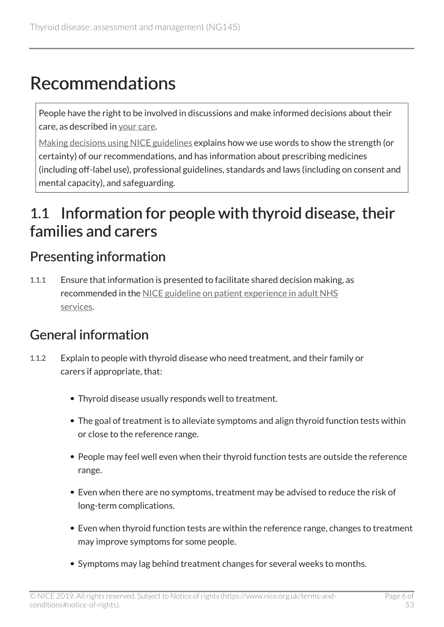# <span id="page-5-0"></span>Recommendations

People have the right to be involved in discussions and make informed decisions about their care, as described in [your care](http://www.nice.org.uk/about/nice-communities/public-involvement/your-care).

[Making decisions using NICE guidelines](http://www.nice.org.uk/about/what-we-do/our-programmes/nice-guidance/nice-guidelines/using-NICE-guidelines-to-make-decisions) explains how we use words to show the strength (or certainty) of our recommendations, and has information about prescribing medicines (including off-label use), professional guidelines, standards and laws (including on consent and mental capacity), and safeguarding.

## <span id="page-5-1"></span>1.1 Information for people with thyroid disease, their families and carers

### <span id="page-5-2"></span>Presenting information

1.1.1 Ensure that information is presented to facilitate shared decision making, as recommended in the [NICE guideline on patient experience in adult NHS](https://www.nice.org.uk/guidance/cg138) [services.](https://www.nice.org.uk/guidance/cg138)

### General information

- 1.1.2 Explain to people with thyroid disease who need treatment, and their family or carers if appropriate, that:
	- Thyroid disease usually responds well to treatment.
	- The goal of treatment is to alleviate symptoms and align thyroid function tests within or close to the reference range.
	- People may feel well even when their thyroid function tests are outside the reference range.
	- Even when there are no symptoms, treatment may be advised to reduce the risk of long-term complications.
	- Even when thyroid function tests are within the reference range, changes to treatment may improve symptoms for some people.
	- Symptoms may lag behind treatment changes for several weeks to months.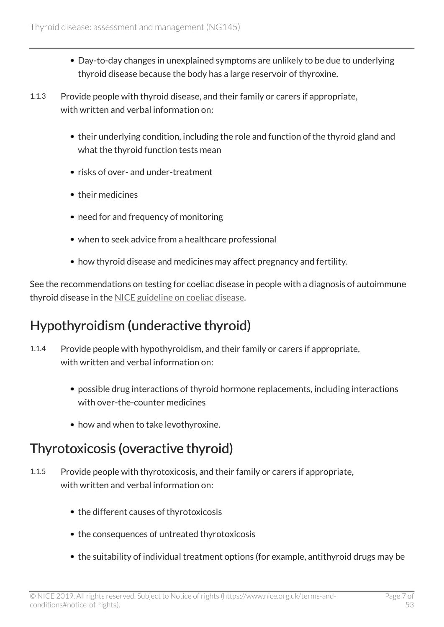- Day-to-day changes in unexplained symptoms are unlikely to be due to underlying thyroid disease because the body has a large reservoir of thyroxine.
- 1.1.3 Provide people with thyroid disease, and their family or carers if appropriate, with written and verbal information on:
	- their underlying condition, including the role and function of the thyroid gland and what the thyroid function tests mean
	- risks of over- and under-treatment
	- their medicines
	- need for and frequency of monitoring
	- when to seek advice from a healthcare professional
	- how thyroid disease and medicines may affect pregnancy and fertility.

See the recommendations on testing for coeliac disease in people with a diagnosis of autoimmune thyroid disease in the [NICE guideline on coeliac disease](https://www.nice.org.uk/guidance/ng20).

### Hypothyroidism (underactive thyroid)

- 1.1.4 Provide people with hypothyroidism, and their family or carers if appropriate, with written and verbal information on:
	- possible drug interactions of thyroid hormone replacements, including interactions with over-the-counter medicines
	- how and when to take levothyroxine.

### Thyrotoxicosis (overactive thyroid)

- 1.1.5 Provide people with thyrotoxicosis, and their family or carers if appropriate, with written and verbal information on:
	- the different causes of thyrotoxicosis
	- the consequences of untreated thyrotoxicosis
	- the suitability of individual treatment options (for example, antithyroid drugs may be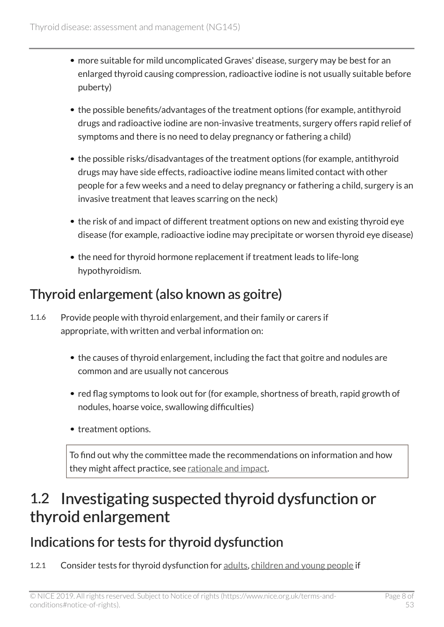- more suitable for mild uncomplicated Graves' disease, surgery may be best for an enlarged thyroid causing compression, radioactive iodine is not usually suitable before puberty)
- the possible benefits/advantages of the treatment options (for example, antithyroid drugs and radioactive iodine are non-invasive treatments, surgery offers rapid relief of symptoms and there is no need to delay pregnancy or fathering a child)
- the possible risks/disadvantages of the treatment options (for example, antithyroid drugs may have side effects, radioactive iodine means limited contact with other people for a few weeks and a need to delay pregnancy or fathering a child, surgery is an invasive treatment that leaves scarring on the neck)
- the risk of and impact of different treatment options on new and existing thyroid eye disease (for example, radioactive iodine may precipitate or worsen thyroid eye disease)
- the need for thyroid hormone replacement if treatment leads to life-long hypothyroidism.

### Thyroid enlargement (also known as goitre)

- 1.1.6 Provide people with thyroid enlargement, and their family or carers if appropriate, with written and verbal information on:
	- the causes of thyroid enlargement, including the fact that goitre and nodules are common and are usually not cancerous
	- red flag symptoms to look out for (for example, shortness of breath, rapid growth of nodules, hoarse voice, swallowing difficulties)
	- treatment options.

To find out why the committee made the recommendations on information and how they might affect practice, see [rationale and impact.](#page-29-1)

## <span id="page-7-0"></span>1.2 Investigating suspected thyroid dysfunction or thyroid enlargement

### <span id="page-7-1"></span>Indications for tests for thyroid dysfunction

1.2.1 Consider tests for thyroid dysfunction for [adults](#page-24-1), [children and young people](#page-24-2) if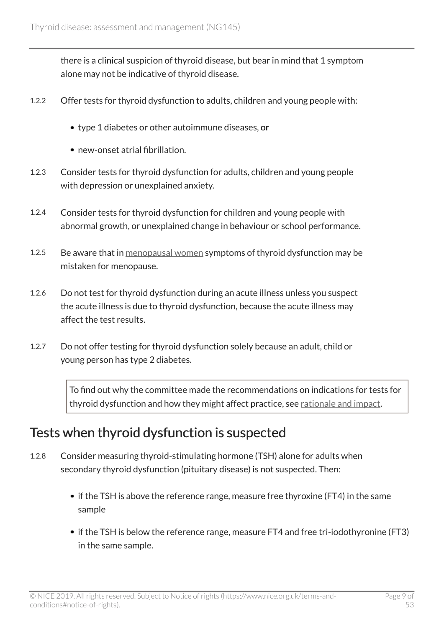there is a clinical suspicion of thyroid disease, but bear in mind that 1 symptom alone may not be indicative of thyroid disease.

- 1.2.2 Offer tests for thyroid dysfunction to adults, children and young people with:
	- type 1 diabetes or other autoimmune diseases, or
	- new-onset atrial fibrillation.
- 1.2.3 Consider tests for thyroid dysfunction for adults, children and young people with depression or unexplained anxiety.
- 1.2.4 Consider tests for thyroid dysfunction for children and young people with abnormal growth, or unexplained change in behaviour or school performance.
- 1.2.5 Be aware that in [menopausal women](#page-25-0) symptoms of thyroid dysfunction may be mistaken for menopause.
- 1.2.6 Do not test for thyroid dysfunction during an acute illness unless you suspect the acute illness is due to thyroid dysfunction, because the acute illness may affect the test results.
- 1.2.7 Do not offer testing for thyroid dysfunction solely because an adult, child or young person has type 2 diabetes.

To find out why the committee made the recommendations on indications for tests for thyroid dysfunction and how they might affect practice, see [rationale and impact](#page-30-0).

### <span id="page-8-0"></span>Tests when thyroid dysfunction is suspected

- 1.2.8 Consider measuring thyroid-stimulating hormone (TSH) alone for adults when secondary thyroid dysfunction (pituitary disease) is not suspected. Then:
	- if the TSH is above the reference range, measure free thyroxine (FT4) in the same sample
	- if the TSH is below the reference range, measure FT4 and free tri-iodothyronine (FT3) in the same sample.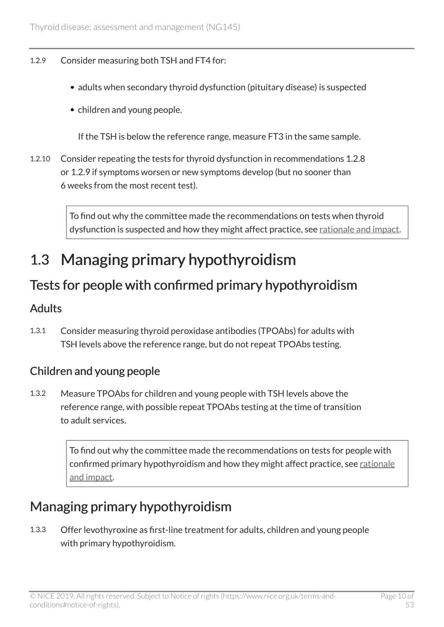#### 1.2.9 Consider measuring both TSH and FT4 for:

- adults when secondary thyroid dysfunction (pituitary disease) is suspected
- children and young people.

If the TSH is below the reference range, measure FT3 in the same sample.

1.2.10 Consider repeating the tests for thyroid dysfunction in recommendations 1.2.8 or 1.2.9 if symptoms worsen or new symptoms develop (but no sooner than 6 weeks from the most recent test).

> To find out why the committee made the recommendations on tests when thyroid dysfunction is suspected and how they might affect practice, see [rationale and impact](#page-31-0).

## <span id="page-9-0"></span>1.3 Managing primary hypothyroidism

### <span id="page-9-1"></span>Tests for people with confirmed primary hypothyroidism

#### Adults

1.3.1 Consider measuring thyroid peroxidase antibodies (TPOAbs) for adults with TSH levels above the reference range, but do not repeat TPOAbs testing.

#### Children and young people

1.3.2 Measure TPOAbs for children and young people with TSH levels above the reference range, with possible repeat TPOAbs testing at the time of transition to adult services.

> To find out why the committee made the recommendations on tests for people with confirmed primary hypothyroidism and how they might affect practice, see [rationale](#page-32-0) [and impact.](#page-32-0)

### <span id="page-9-2"></span>Managing primary hypothyroidism

1.3.3 Offer levothyroxine as first-line treatment for adults, children and young people with primary hypothyroidism.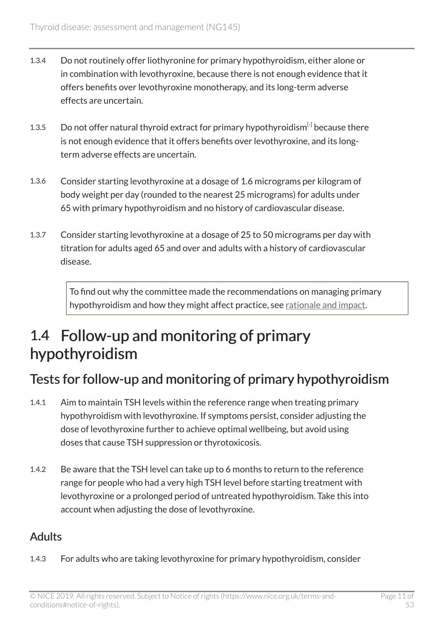- 1.3.4 Do not routinely offer liothyronine for primary hypothyroidism, either alone or in combination with levothyroxine, because there is not enough evidence that it offers benefits over levothyroxine monotherapy, and its long-term adverse effects are uncertain.
- <span id="page-10-1"></span>[1](#page-25-1).3.5 Do not offer natural thyroid extract for primary hypothyroidism $^{[i]}$  because there is not enough evidence that it offers benefits over levothyroxine, and its longterm adverse effects are uncertain.
- 1.3.6 Consider starting levothyroxine at a dosage of 1.6 micrograms per kilogram of body weight per day (rounded to the nearest 25 micrograms) for adults under 65 with primary hypothyroidism and no history of cardiovascular disease.
- 1.3.7 Consider starting levothyroxine at a dosage of 25 to 50 micrograms per day with titration for adults aged 65 and over and adults with a history of cardiovascular disease.

To find out why the committee made the recommendations on managing primary hypothyroidism and how they might affect practice, see [rationale and impact.](#page-32-1)

## <span id="page-10-0"></span>1.4 Follow-up and monitoring of primary hypothyroidism

### <span id="page-10-2"></span>Tests for follow-up and monitoring of primary hypothyroidism

- 1.4.1 Aim to maintain TSH levels within the reference range when treating primary hypothyroidism with levothyroxine. If symptoms persist, consider adjusting the dose of levothyroxine further to achieve optimal wellbeing, but avoid using doses that cause TSH suppression or thyrotoxicosis.
- 1.4.2 Be aware that the TSH level can take up to 6 months to return to the reference range for people who had a very high TSH level before starting treatment with levothyroxine or a prolonged period of untreated hypothyroidism. Take this into account when adjusting the dose of levothyroxine.

#### Adults

1.4.3 For adults who are taking levothyroxine for primary hypothyroidism, consider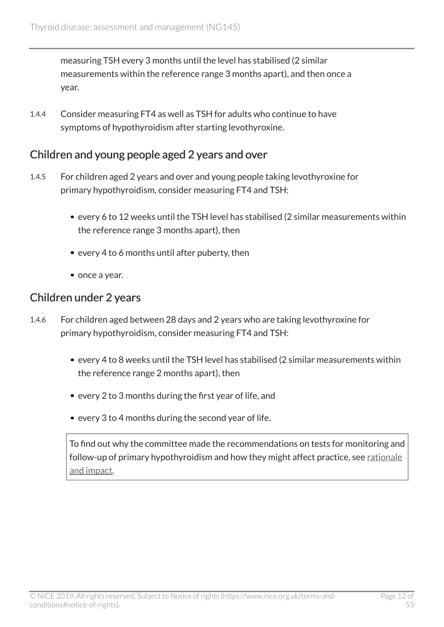measuring TSH every 3 months until the level has stabilised (2 similar measurements within the reference range 3 months apart), and then once a year.

1.4.4 Consider measuring FT4 as well as TSH for adults who continue to have symptoms of hypothyroidism after starting levothyroxine.

#### Children and young people aged 2 years and over

- 1.4.5 For children aged 2 years and over and young people taking levothyroxine for primary hypothyroidism, consider measuring FT4 and TSH:
	- every 6 to 12 weeks until the TSH level has stabilised (2 similar measurements within the reference range 3 months apart), then
	- every 4 to 6 months until after puberty, then
	- once a year.

#### Children under 2 years

- 1.4.6 For children aged between 28 days and 2 years who are taking levothyroxine for primary hypothyroidism, consider measuring FT4 and TSH:
	- every 4 to 8 weeks until the TSH level has stabilised (2 similar measurements within the reference range 2 months apart), then
	- every 2 to 3 months during the first year of life, and
	- every 3 to 4 months during the second year of life.

To find out why the committee made the recommendations on tests for monitoring and follow-up of primary hypothyroidism and how they might affect practice, see [rationale](#page-34-0) [and impact.](#page-34-0)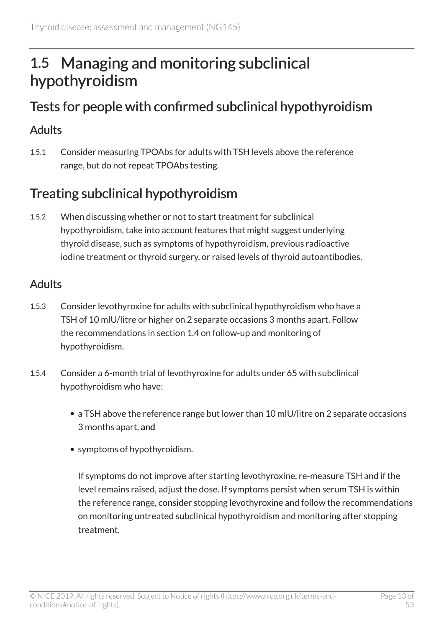## <span id="page-12-0"></span>1.5 Managing and monitoring subclinical hypothyroidism

### <span id="page-12-1"></span>Tests for people with confirmed subclinical hypothyroidism

#### Adults

1.5.1 Consider measuring TPOAbs for adults with TSH levels above the reference range, but do not repeat TPOAbs testing.

### Treating subclinical hypothyroidism

1.5.2 When discussing whether or not to start treatment for subclinical hypothyroidism, take into account features that might suggest underlying thyroid disease, such as symptoms of hypothyroidism, previous radioactive iodine treatment or thyroid surgery, or raised levels of thyroid autoantibodies.

#### Adults

- 1.5.3 Consider levothyroxine for adults with subclinical hypothyroidism who have a TSH of 10 mlU/litre or higher on 2 separate occasions 3 months apart. Follow the recommendations in section 1.4 on follow-up and monitoring of hypothyroidism.
- 1.5.4 Consider a 6-month trial of levothyroxine for adults under 65 with subclinical hypothyroidism who have:
	- a TSH above the reference range but lower than 10 mlU/litre on 2 separate occasions 3 months apart, and
	- symptoms of hypothyroidism.

If symptoms do not improve after starting levothyroxine, re-measure TSH and if the level remains raised, adjust the dose. If symptoms persist when serum TSH is within the reference range, consider stopping levothyroxine and follow the recommendations on monitoring untreated subclinical hypothyroidism and monitoring after stopping treatment.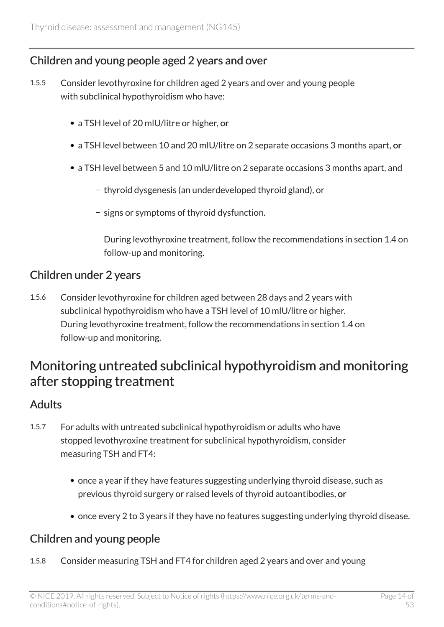#### Children and young people aged 2 years and over

- 1.5.5 Consider levothyroxine for children aged 2 years and over and young people with subclinical hypothyroidism who have:
	- a TSH level of 20 mIU/litre or higher, or
	- a TSH level between 10 and 20 mlU/litre on 2 separate occasions 3 months apart, or
	- a TSH level between 5 and 10 mlU/litre on 2 separate occasions 3 months apart, and
		- thyroid dysgenesis (an underdeveloped thyroid gland), or
		- signs or symptoms of thyroid dysfunction.

During levothyroxine treatment, follow the recommendations in section 1.4 on follow-up and monitoring.

#### Children under 2 years

1.5.6 Consider levothyroxine for children aged between 28 days and 2 years with subclinical hypothyroidism who have a TSH level of 10 mlU/litre or higher. During levothyroxine treatment, follow the recommendations in section 1.4 on follow-up and monitoring.

### Monitoring untreated subclinical hypothyroidism and monitoring after stopping treatment

#### Adults

- 1.5.7 For adults with untreated subclinical hypothyroidism or adults who have stopped levothyroxine treatment for subclinical hypothyroidism, consider measuring TSH and FT4:
	- once a year if they have features suggesting underlying thyroid disease, such as previous thyroid surgery or raised levels of thyroid autoantibodies, or
	- once every 2 to 3 years if they have no features suggesting underlying thyroid disease.

#### Children and young people

1.5.8 Consider measuring TSH and FT4 for children aged 2 years and over and young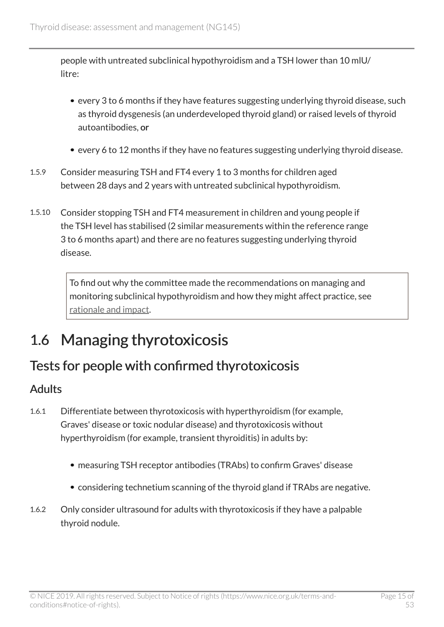people with untreated subclinical hypothyroidism and a TSH lower than 10 mlU/ litre:

- every 3 to 6 months if they have features suggesting underlying thyroid disease, such as thyroid dysgenesis (an underdeveloped thyroid gland) or raised levels of thyroid autoantibodies, or
- every 6 to 12 months if they have no features suggesting underlying thyroid disease.
- 1.5.9 Consider measuring TSH and FT4 every 1 to 3 months for children aged between 28 days and 2 years with untreated subclinical hypothyroidism.
- 1.5.10 Consider stopping TSH and FT4 measurement in children and young people if the TSH level has stabilised (2 similar measurements within the reference range 3 to 6 months apart) and there are no features suggesting underlying thyroid disease.

To find out why the committee made the recommendations on managing and monitoring subclinical hypothyroidism and how they might affect practice, see [rationale and impact](#page-35-0).

## <span id="page-14-0"></span>1.6 Managing thyrotoxicosis

### <span id="page-14-1"></span>Tests for people with confirmed thyrotoxicosis

#### Adults

- 1.6.1 Differentiate between thyrotoxicosis with hyperthyroidism (for example, Graves' disease or toxic nodular disease) and thyrotoxicosis without hyperthyroidism (for example, transient thyroiditis) in adults by:
	- measuring TSH receptor antibodies (TRAbs) to confirm Graves' disease
	- considering technetium scanning of the thyroid gland if TRAbs are negative.
- 1.6.2 Only consider ultrasound for adults with thyrotoxicosis if they have a palpable thyroid nodule.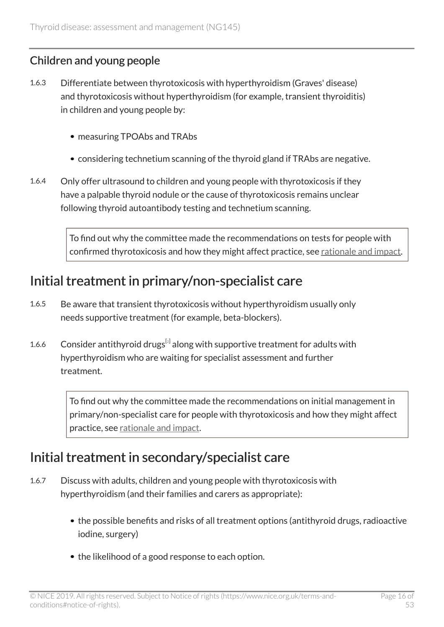#### Children and young people

- 1.6.3 Differentiate between thyrotoxicosis with hyperthyroidism (Graves' disease) and thyrotoxicosis without hyperthyroidism (for example, transient thyroiditis) in children and young people by:
	- measuring TPOAbs and TRAbs
	- considering technetium scanning of the thyroid gland if TRAbs are negative.
- 1.6.4 Only offer ultrasound to children and young people with thyrotoxicosis if they have a palpable thyroid nodule or the cause of thyrotoxicosis remains unclear following thyroid autoantibody testing and technetium scanning.

To find out why the committee made the recommendations on tests for people with confirmed thyrotoxicosis and how they might affect practice, see [rationale and impact.](#page-37-0)

### <span id="page-15-1"></span>Initial treatment in primary/non-specialist care

- 1.6.5 Be aware that transient thyrotoxicosis without hyperthyroidism usually only needs supportive treatment (for example, beta-blockers).
- <span id="page-15-0"></span>1.6.6 Consider antithyroid drugs $^{[2]}$  $^{[2]}$  $^{[2]}$  along with supportive treatment for adults with hyperthyroidism who are waiting for specialist assessment and further treatment.

To find out why the committee made the recommendations on initial management in primary/non-specialist care for people with thyrotoxicosis and how they might affect practice, see [rationale and impact](#page-38-0).

### <span id="page-15-2"></span>Initial treatment in secondary/specialist care

- 1.6.7 Discuss with adults, children and young people with thyrotoxicosis with hyperthyroidism (and their families and carers as appropriate):
	- the possible benefits and risks of all treatment options (antithyroid drugs, radioactive iodine, surgery)
	- the likelihood of a good response to each option.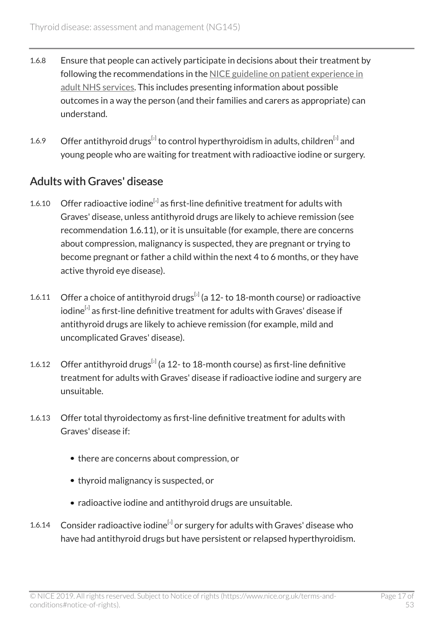- 1.6.8 Ensure that people can actively participate in decisions about their treatment by following the recommendations in the [NICE guideline on patient experience in](https://www.nice.org.uk/guidance/cg138) [adult NHS services](https://www.nice.org.uk/guidance/cg138). This includes presenting information about possible outcomes in a way the person (and their families and carers as appropriate) can understand.
- <span id="page-16-0"></span>1.6.9 Offer antithyroid drugs<sup>[[2](#page-25-2)]</sup> to control hyperthyroidism in adults, children<sup>[[3](#page-25-3)]</sup> and young people who are waiting for treatment with radioactive iodine or surgery.

#### <span id="page-16-2"></span>Adults with Graves' disease

- <span id="page-16-1"></span>1.6.10 Offer radioactive iodine $^{[4]}$  $^{[4]}$  $^{[4]}$  as first-line definitive treatment for adults with Graves' disease, unless antithyroid drugs are likely to achieve remission (see recommendation 1.6.11), or it is unsuitable (for example, there are concerns about compression, malignancy is suspected, they are pregnant or trying to become pregnant or father a child within the next 4 to 6 months, or they have active thyroid eye disease).
- 1.6.11 Offer a choice of antithyroid drugs $^{[2]}$  $^{[2]}$  $^{[2]}$  (a 12-to 18-month course) or radioactive iodine $^{\left[ 4\right] }$  $^{\left[ 4\right] }$  $^{\left[ 4\right] }$  as first-line definitive treatment for adults with Graves' disease if antithyroid drugs are likely to achieve remission (for example, mild and uncomplicated Graves' disease).
- 1.6.1[2](#page-25-2) Offer antithyroid drugs $^{[2]}$  (a 12- to 18-month course) as first-line definitive treatment for adults with Graves' disease if radioactive iodine and surgery are unsuitable.
- 1.6.13 Offer total thyroidectomy as first-line definitive treatment for adults with Graves' disease if:
	- there are concerns about compression, or
	- thyroid malignancy is suspected, or
	- radioactive iodine and antithyroid drugs are unsuitable.
- 1.6.1[4](#page-25-4) Consider radioactive iodine<sup>[4]</sup> or surgery for adults with Graves' disease who have had antithyroid drugs but have persistent or relapsed hyperthyroidism.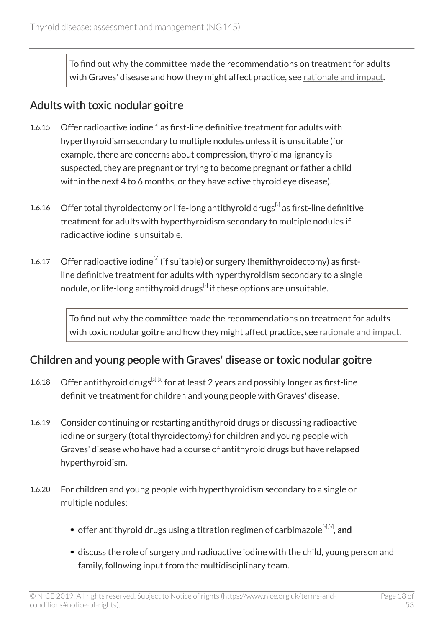To find out why the committee made the recommendations on treatment for adults with Graves' disease and how they might affect practice, see [rationale and impact.](#page-39-0)

#### <span id="page-17-0"></span>Adults with toxic nodular goitre

- 1.6.15 Offer radioactive iodine $^{[4]}$  $^{[4]}$  $^{[4]}$  as first-line definitive treatment for adults with hyperthyroidism secondary to multiple nodules unless it is unsuitable (for example, there are concerns about compression, thyroid malignancy is suspected, they are pregnant or trying to become pregnant or father a child within the next 4 to 6 months, or they have active thyroid eye disease).
- 1.6.16 Offer total thyroidectomy or life-long antithyroid drugs $^{[z]}$  as first-line definitive treatment for adults with hyperthyroidism secondary to multiple nodules if radioactive iodine is unsuitable.
- 1.6.17 Offer radioactive iodine $^{[4]}$  $^{[4]}$  $^{[4]}$  (if suitable) or surgery (hemithyroidectomy) as firstline definitive treatment for adults with hyperthyroidism secondary to a single nodule, or life-long antithyroid drugs $^{\rm{z}}$  if these options are unsuitable.

To find out why the committee made the recommendations on treatment for adults with toxic nodular goitre and how they might affect practice, see [rationale and impact.](#page-41-0)

#### <span id="page-17-1"></span>Children and young people with Graves' disease or toxic nodular goitre

- 1.6.18  $\,$  Offer antithyroid drugs $^{[2],[3]}$  $^{[2],[3]}$  $^{[2],[3]}$  $^{[2],[3]}$  $^{[2],[3]}$  for at least 2 years and possibly longer as first-line definitive treatment for children and young people with Graves' disease.
- 1.6.19 Consider continuing or restarting antithyroid drugs or discussing radioactive iodine or surgery (total thyroidectomy) for children and young people with Graves' disease who have had a course of antithyroid drugs but have relapsed hyperthyroidism.
- 1.6.20 For children and young people with hyperthyroidism secondary to a single or multiple nodules:
	- offer antithyroid drugs using a titration regimen of carbimazole $^{\left[ 2\right] ,\left[ 3\right] },$  $^{\left[ 2\right] ,\left[ 3\right] },$  $^{\left[ 2\right] ,\left[ 3\right] },$  $^{\left[ 2\right] ,\left[ 3\right] },$  $^{\left[ 2\right] ,\left[ 3\right] },$  and
	- discuss the role of surgery and radioactive iodine with the child, young person and family, following input from the multidisciplinary team.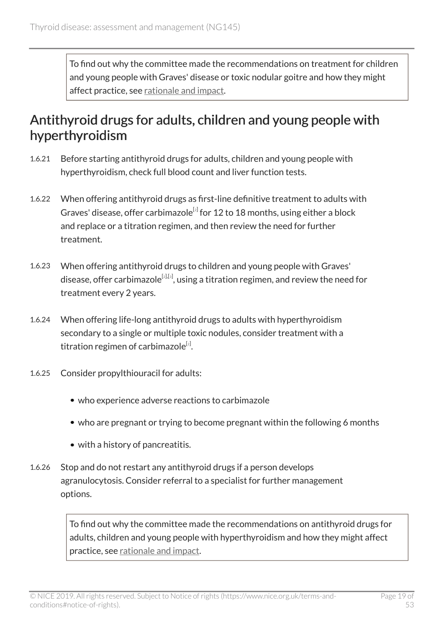To find out why the committee made the recommendations on treatment for children and young people with Graves' disease or toxic nodular goitre and how they might affect practice, see [rationale and impact](#page-41-1).

### <span id="page-18-0"></span>Antithyroid drugs for adults, children and young people with hyperthyroidism

- 1.6.21 Before starting antithyroid drugs for adults, children and young people with hyperthyroidism, check full blood count and liver function tests.
- 1.6.22 When offering antithyroid drugs as first-line definitive treatment to adults with Graves' disease, offer carbimazole $^{\lbrack 2]}$  $^{\lbrack 2]}$  $^{\lbrack 2]}$  for 12 to 18 months, using either a block and replace or a titration regimen, and then review the need for further treatment.
- 1.6.23 When offering antithyroid drugs to children and young people with Graves' disease, offer carbimazole $^{\left[ 2\right] ,\left[ 3\right] }$  $^{\left[ 2\right] ,\left[ 3\right] }$  $^{\left[ 2\right] ,\left[ 3\right] }$  $^{\left[ 2\right] ,\left[ 3\right] }$  $^{\left[ 2\right] ,\left[ 3\right] }$ , using a titration regimen, and review the need for treatment every 2 years.
- 1.6.24 When offering life-long antithyroid drugs to adults with hyperthyroidism secondary to a single or multiple toxic nodules, consider treatment with a titration regimen of carbimazole $^{\lbrack 2 \rbrack}$  $^{\lbrack 2 \rbrack}$  $^{\lbrack 2 \rbrack}$ .
- 1.6.25 Consider propylthiouracil for adults:
	- who experience adverse reactions to carbimazole
	- who are pregnant or trying to become pregnant within the following 6 months
	- with a history of pancreatitis.
- 1.6.26 Stop and do not restart any antithyroid drugs if a person develops agranulocytosis. Consider referral to a specialist for further management options.

To find out why the committee made the recommendations on antithyroid drugs for adults, children and young people with hyperthyroidism and how they might affect practice, see [rationale and impact](#page-42-0).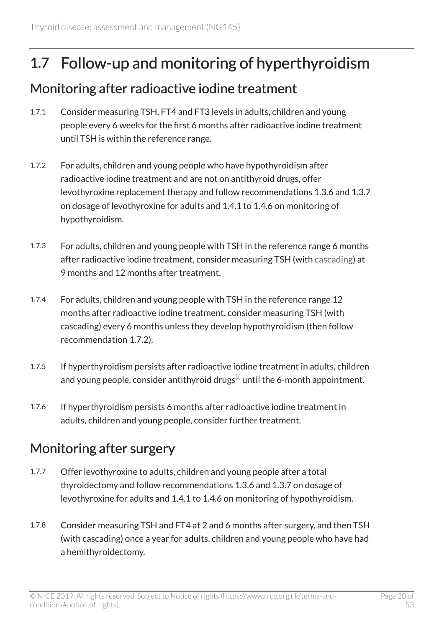## <span id="page-19-0"></span>1.7 Follow-up and monitoring of hyperthyroidism

### <span id="page-19-1"></span>Monitoring after radioactive iodine treatment

- 1.7.1 Consider measuring TSH, FT4 and FT3 levels in adults, children and young people every 6 weeks for the first 6 months after radioactive iodine treatment until TSH is within the reference range.
- 1.7.2 For adults, children and young people who have hypothyroidism after radioactive iodine treatment and are not on antithyroid drugs, offer levothyroxine replacement therapy and follow recommendations 1.3.6 and 1.3.7 on dosage of levothyroxine for adults and 1.4.1 to 1.4.6 on monitoring of hypothyroidism.
- 1.7.3 For adults, children and young people with TSH in the reference range 6 months after radioactive iodine treatment, consider measuring TSH (with [cascading](#page-24-3)) at 9 months and 12 months after treatment.
- 1.7.4 For adults, children and young people with TSH in the reference range 12 months after radioactive iodine treatment, consider measuring TSH (with cascading) every 6 months unless they develop hypothyroidism (then follow recommendation 1.7.2).
- 1.7.5 If hyperthyroidism persists after radioactive iodine treatment in adults, children and young people, consider antithyroid drugs $^{\lbrack 2]}$  $^{\lbrack 2]}$  $^{\lbrack 2]}$  until the 6-month appointment.
- 1.7.6 If hyperthyroidism persists 6 months after radioactive iodine treatment in adults, children and young people, consider further treatment.

### Monitoring after surgery

- 1.7.7 Offer levothyroxine to adults, children and young people after a total thyroidectomy and follow recommendations 1.3.6 and 1.3.7 on dosage of levothyroxine for adults and 1.4.1 to 1.4.6 on monitoring of hypothyroidism.
- 1.7.8 Consider measuring TSH and FT4 at 2 and 6 months after surgery, and then TSH (with cascading) once a year for adults, children and young people who have had a hemithyroidectomy.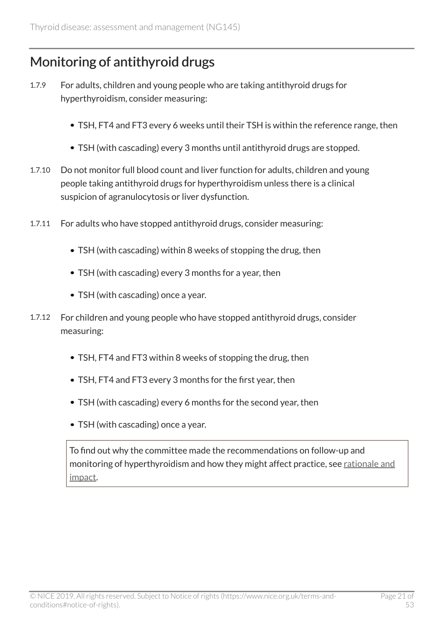### Monitoring of antithyroid drugs

- 1.7.9 For adults, children and young people who are taking antithyroid drugs for hyperthyroidism, consider measuring:
	- TSH, FT4 and FT3 every 6 weeks until their TSH is within the reference range, then
	- TSH (with cascading) every 3 months until antithyroid drugs are stopped.
- 1.7.10 Do not monitor full blood count and liver function for adults, children and young people taking antithyroid drugs for hyperthyroidism unless there is a clinical suspicion of agranulocytosis or liver dysfunction.
- 1.7.11 For adults who have stopped antithyroid drugs, consider measuring:
	- TSH (with cascading) within 8 weeks of stopping the drug, then
	- TSH (with cascading) every 3 months for a year, then
	- TSH (with cascading) once a year.
- 1.7.12 For children and young people who have stopped antithyroid drugs, consider measuring:
	- TSH, FT4 and FT3 within 8 weeks of stopping the drug, then
	- TSH, FT4 and FT3 every 3 months for the first year, then
	- TSH (with cascading) every 6 months for the second year, then
	- TSH (with cascading) once a year.

To find out why the committee made the recommendations on follow-up and monitoring of hyperthyroidism and how they might affect practice, see [rationale and](#page-44-0) [impact.](#page-44-0)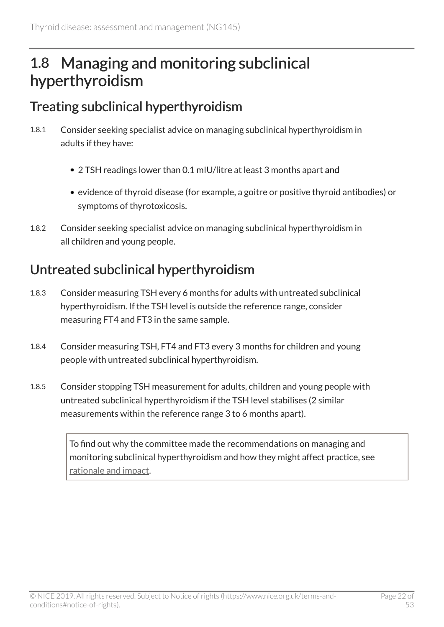## <span id="page-21-0"></span>1.8 Managing and monitoring subclinical hyperthyroidism

### <span id="page-21-1"></span>Treating subclinical hyperthyroidism

- 1.8.1 Consider seeking specialist advice on managing subclinical hyperthyroidism in adults if they have:
	- 2 TSH readings lower than 0.1 mIU/litre at least 3 months apart and
	- evidence of thyroid disease (for example, a goitre or positive thyroid antibodies) or symptoms of thyrotoxicosis.
- 1.8.2 Consider seeking specialist advice on managing subclinical hyperthyroidism in all children and young people.

### Untreated subclinical hyperthyroidism

- 1.8.3 Consider measuring TSH every 6 months for adults with untreated subclinical hyperthyroidism. If the TSH level is outside the reference range, consider measuring FT4 and FT3 in the same sample.
- 1.8.4 Consider measuring TSH, FT4 and FT3 every 3 months for children and young people with untreated subclinical hyperthyroidism.
- 1.8.5 Consider stopping TSH measurement for adults, children and young people with untreated subclinical hyperthyroidism if the TSH level stabilises (2 similar measurements within the reference range 3 to 6 months apart).

To find out why the committee made the recommendations on managing and monitoring subclinical hyperthyroidism and how they might affect practice, see [rationale and impact](#page-45-0).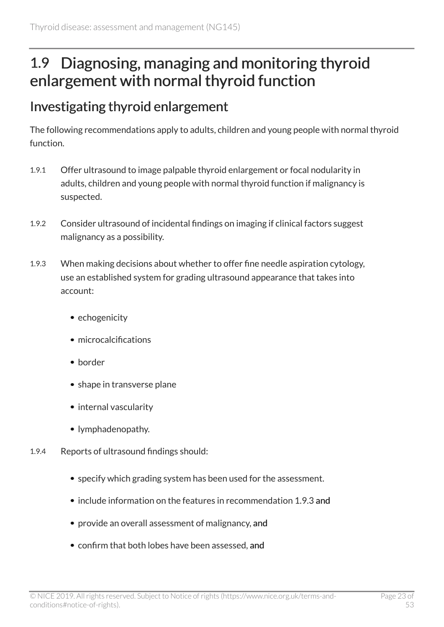## <span id="page-22-0"></span>1.9 Diagnosing, managing and monitoring thyroid enlargement with normal thyroid function

### <span id="page-22-1"></span>Investigating thyroid enlargement

The following recommendations apply to adults, children and young people with normal thyroid function.

- 1.9.1 Offer ultrasound to image palpable thyroid enlargement or focal nodularity in adults, children and young people with normal thyroid function if malignancy is suspected.
- 1.9.2 Consider ultrasound of incidental findings on imaging if clinical factors suggest malignancy as a possibility.
- 1.9.3 When making decisions about whether to offer fine needle aspiration cytology, use an established system for grading ultrasound appearance that takes into account:
	- echogenicity
	- microcalcifications
	- border
	- shape in transverse plane
	- internal vascularity
	- lymphadenopathy.
- 1.9.4 Reports of ultrasound findings should:
	- specify which grading system has been used for the assessment.
	- include information on the features in recommendation 1.9.3 and
	- provide an overall assessment of malignancy, and
	- confirm that both lobes have been assessed, and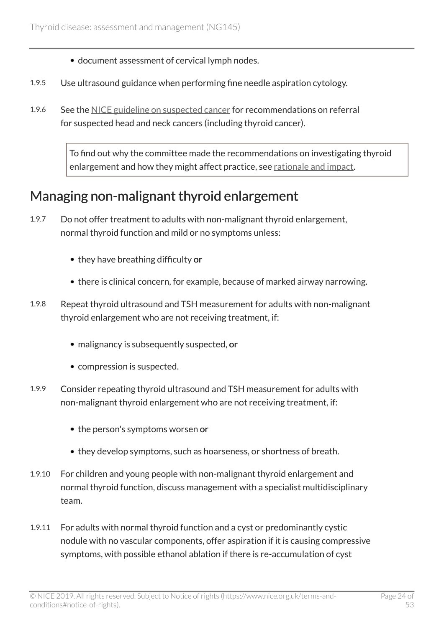- document assessment of cervical lymph nodes.
- 1.9.5 Use ultrasound guidance when performing fine needle aspiration cytology.
- 1.9.6 See the [NICE guideline on suspected cancer](https://www.nice.org.uk/guidance/ng12) for recommendations on referral for suspected head and neck cancers (including thyroid cancer).

To find out why the committee made the recommendations on investigating thyroid enlargement and how they might affect practice, see [rationale and impact](#page-46-0).

### <span id="page-23-0"></span>Managing non-malignant thyroid enlargement

- 1.9.7 Do not offer treatment to adults with non-malignant thyroid enlargement, normal thyroid function and mild or no symptoms unless:
	- they have breathing difficulty or
	- there is clinical concern, for example, because of marked airway narrowing.
- 1.9.8 Repeat thyroid ultrasound and TSH measurement for adults with non-malignant thyroid enlargement who are not receiving treatment, if:
	- malignancy is subsequently suspected, or
	- compression is suspected.
- 1.9.9 Consider repeating thyroid ultrasound and TSH measurement for adults with non-malignant thyroid enlargement who are not receiving treatment, if:
	- the person's symptoms worsen or
	- they develop symptoms, such as hoarseness, or shortness of breath.
- 1.9.10 For children and young people with non-malignant thyroid enlargement and normal thyroid function, discuss management with a specialist multidisciplinary team.
- 1.9.11 For adults with normal thyroid function and a cyst or predominantly cystic nodule with no vascular components, offer aspiration if it is causing compressive symptoms, with possible ethanol ablation if there is re-accumulation of cyst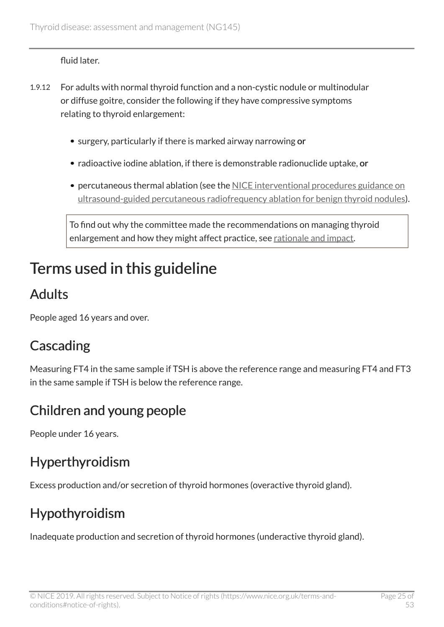fluid later.

- 1.9.12 For adults with normal thyroid function and a non-cystic nodule or multinodular or diffuse goitre, consider the following if they have compressive symptoms relating to thyroid enlargement:
	- surgery, particularly if there is marked airway narrowing or
	- radioactive iodine ablation, if there is demonstrable radionuclide uptake, or
	- percutaneous thermal ablation (see the [NICE interventional procedures guidance on](https://www.nice.org.uk/guidance/ipg562) [ultrasound-guided percutaneous radiofrequency ablation for benign thyroid nodules\)](https://www.nice.org.uk/guidance/ipg562).

To find out why the committee made the recommendations on managing thyroid enlargement and how they might affect practice, see [rationale and impact](#page-48-0).

## <span id="page-24-0"></span>Terms used in this guideline

## <span id="page-24-1"></span>Adults

People aged 16 years and over.

## <span id="page-24-3"></span>Cascading

Measuring FT4 in the same sample if TSH is above the reference range and measuring FT4 and FT3 in the same sample if TSH is below the reference range.

## <span id="page-24-2"></span>Children and young people

People under 16 years.

## Hyperthyroidism

Excess production and/or secretion of thyroid hormones (overactive thyroid gland).

## Hypothyroidism

Inadequate production and secretion of thyroid hormones (underactive thyroid gland).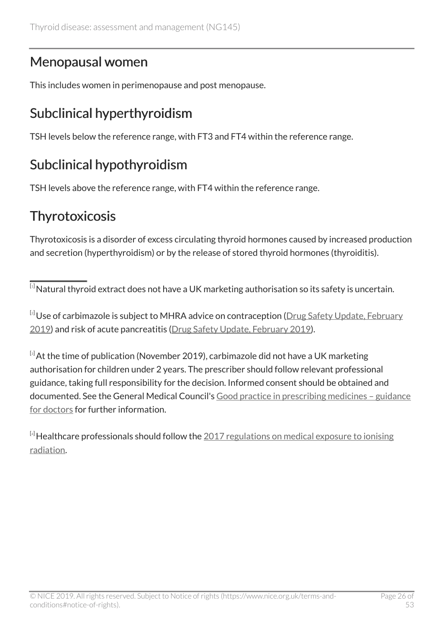### <span id="page-25-0"></span>Menopausal women

This includes women in perimenopause and post menopause.

### Subclinical hyperthyroidism

TSH levels below the reference range, with FT3 and FT4 within the reference range.

### Subclinical hypothyroidism

TSH levels above the reference range, with FT4 within the reference range.

### **Thyrotoxicosis**

Thyrotoxicosis is a disorder of excess circulating thyroid hormones caused by increased production and secretion (hyperthyroidism) or by the release of stored thyroid hormones (thyroiditis).

<span id="page-25-1"></span>[[1](#page-10-1)] Natural thyroid extract does not have a UK marketing authorisation so its safety is uncertain.

<span id="page-25-2"></span> $^{[2]}$  $^{[2]}$  $^{[2]}$ Use of carbimazole is subject to MHRA advice on contraception ([Drug Safety Update, February](https://www.gov.uk/drug-safety-update/carbimazole-increased-risk-of-congenital-malformations-strengthened-advice-on-contraception) [2019\)](https://www.gov.uk/drug-safety-update/carbimazole-increased-risk-of-congenital-malformations-strengthened-advice-on-contraception) and risk of acute pancreatitis [\(Drug Safety Update, February 2019\)](https://www.gov.uk/drug-safety-update/carbimazole-risk-of-acute-pancreatitis).

<span id="page-25-3"></span>[[3](#page-16-0)] At the time of publication (November 2019), carbimazole did not have a UK marketing authorisation for children under 2 years. The prescriber should follow relevant professional guidance, taking full responsibility for the decision. Informed consent should be obtained and documented. See the General Medical Council's [Good practice in prescribing medicines – guidance](https://www.gmc-uk.org/ethical-guidance/ethical-guidance-for-doctors/prescribing-and-managing-medicines-and-devices/prescribing-unlicensed-medicines) [for doctors](https://www.gmc-uk.org/ethical-guidance/ethical-guidance-for-doctors/prescribing-and-managing-medicines-and-devices/prescribing-unlicensed-medicines) for further information.

<span id="page-25-4"></span> $[4]$  $[4]$  $[4]$  Healthcare professionals should follow the  $2017$  regulations on medical exposure to ionising [radiation](http://www.legislation.gov.uk/uksi/2017/1322/contents/made).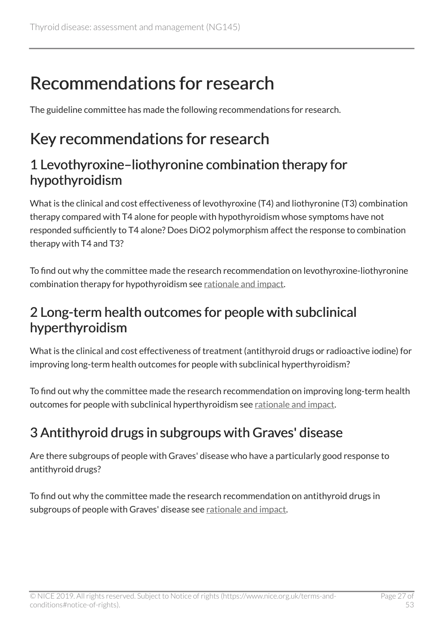# <span id="page-26-0"></span>Recommendations for research

The guideline committee has made the following recommendations for research.

## <span id="page-26-1"></span>Key recommendations for research

### 1 Levothyroxine–liothyronine combination therapy for hypothyroidism

What is the clinical and cost effectiveness of levothyroxine (T4) and liothyronine (T3) combination therapy compared with T4 alone for people with hypothyroidism whose symptoms have not responded sufficiently to T4 alone? Does DiO2 polymorphism affect the response to combination therapy with T4 and T3?

To find out why the committee made the research recommendation on levothyroxine-liothyronine combination therapy for hypothyroidism see [rationale and impact](#page-32-1).

### 2 Long-term health outcomes for people with subclinical hyperthyroidism

What is the clinical and cost effectiveness of treatment (antithyroid drugs or radioactive iodine) for improving long-term health outcomes for people with subclinical hyperthyroidism?

To find out why the committee made the research recommendation on improving long-term health outcomes for people with subclinical hyperthyroidism see [rationale and impact.](#page-45-0)

## 3 Antithyroid drugs in subgroups with Graves' disease

Are there subgroups of people with Graves' disease who have a particularly good response to antithyroid drugs?

To find out why the committee made the research recommendation on antithyroid drugs in subgroups of people with Graves' disease see [rationale and impact.](#page-39-0)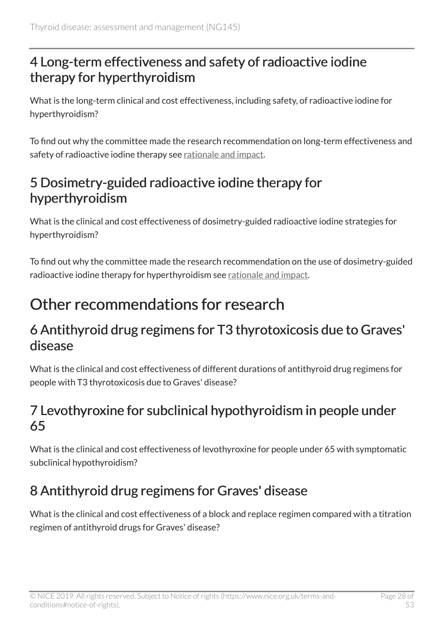### 4 Long-term effectiveness and safety of radioactive iodine therapy for hyperthyroidism

What is the long-term clinical and cost effectiveness, including safety, of radioactive iodine for hyperthyroidism?

To find out why the committee made the research recommendation on long-term effectiveness and safety of radioactive iodine therapy see [rationale and impact](#page-39-0).

### 5 Dosimetry-guided radioactive iodine therapy for hyperthyroidism

What is the clinical and cost effectiveness of dosimetry-guided radioactive iodine strategies for hyperthyroidism?

To find out why the committee made the research recommendation on the use of dosimetry-guided radioactive iodine therapy for hyperthyroidism see [rationale and impact.](#page-39-0)

## <span id="page-27-0"></span>Other recommendations for research

### 6 Antithyroid drug regimens for T3 thyrotoxicosis due to Graves' disease

What is the clinical and cost effectiveness of different durations of antithyroid drug regimens for people with T3 thyrotoxicosis due to Graves' disease?

### 7 Levothyroxine for subclinical hypothyroidism in people under 65

What is the clinical and cost effectiveness of levothyroxine for people under 65 with symptomatic subclinical hypothyroidism?

### 8 Antithyroid drug regimens for Graves' disease

What is the clinical and cost effectiveness of a block and replace regimen compared with a titration regimen of antithyroid drugs for Graves' disease?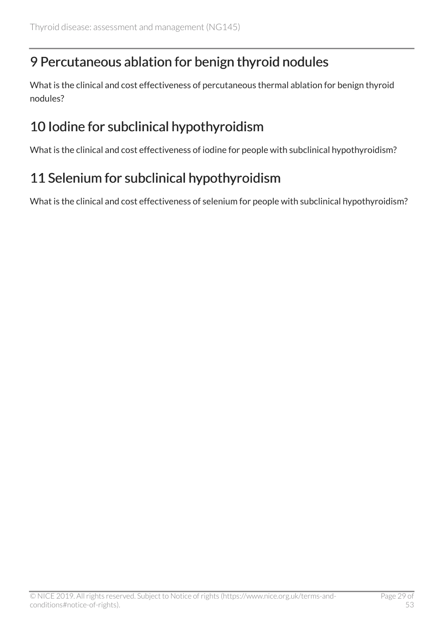### 9 Percutaneous ablation for benign thyroid nodules

What is the clinical and cost effectiveness of percutaneous thermal ablation for benign thyroid nodules?

### 10 Iodine for subclinical hypothyroidism

What is the clinical and cost effectiveness of iodine for people with subclinical hypothyroidism?

## 11 Selenium for subclinical hypothyroidism

What is the clinical and cost effectiveness of selenium for people with subclinical hypothyroidism?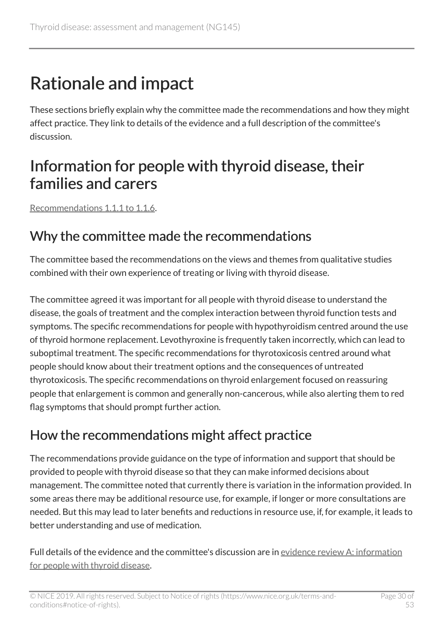# <span id="page-29-0"></span>Rationale and impact

These sections briefly explain why the committee made the recommendations and how they might affect practice. They link to details of the evidence and a full description of the committee's discussion.

## <span id="page-29-1"></span>Information for people with thyroid disease, their families and carers

[Recommendations 1.1.1 to 1.1.6.](#page-5-2)

### Why the committee made the recommendations

The committee based the recommendations on the views and themes from qualitative studies combined with their own experience of treating or living with thyroid disease.

The committee agreed it was important for all people with thyroid disease to understand the disease, the goals of treatment and the complex interaction between thyroid function tests and symptoms. The specific recommendations for people with hypothyroidism centred around the use of thyroid hormone replacement. Levothyroxine is frequently taken incorrectly, which can lead to suboptimal treatment. The specific recommendations for thyrotoxicosis centred around what people should know about their treatment options and the consequences of untreated thyrotoxicosis. The specific recommendations on thyroid enlargement focused on reassuring people that enlargement is common and generally non-cancerous, while also alerting them to red flag symptoms that should prompt further action.

### How the recommendations might affect practice

The recommendations provide guidance on the type of information and support that should be provided to people with thyroid disease so that they can make informed decisions about management. The committee noted that currently there is variation in the information provided. In some areas there may be additional resource use, for example, if longer or more consultations are needed. But this may lead to later benefits and reductions in resource use, if, for example, it leads to better understanding and use of medication.

Full details of the evidence and the committee's discussion are in [evidence review A: information](https://www.nice.org.uk/guidance/ng145/evidence/a-information-for-people-with-thyroid-disease-pdf-6967421677) [for people with thyroid disease](https://www.nice.org.uk/guidance/ng145/evidence/a-information-for-people-with-thyroid-disease-pdf-6967421677).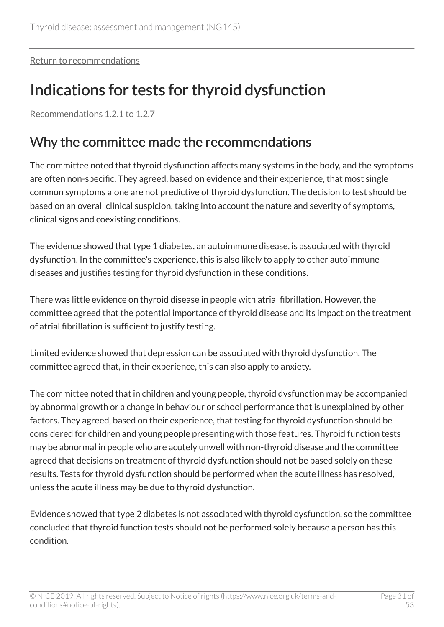[Return to recommendations](#page-5-2)

## <span id="page-30-0"></span>Indications for tests for thyroid dysfunction

[Recommendations 1.2.1 to 1.2.7](#page-7-0)

### Why the committee made the recommendations

The committee noted that thyroid dysfunction affects many systems in the body, and the symptoms are often non-specific. They agreed, based on evidence and their experience, that most single common symptoms alone are not predictive of thyroid dysfunction. The decision to test should be based on an overall clinical suspicion, taking into account the nature and severity of symptoms, clinical signs and coexisting conditions.

The evidence showed that type 1 diabetes, an autoimmune disease, is associated with thyroid dysfunction. In the committee's experience, this is also likely to apply to other autoimmune diseases and justifies testing for thyroid dysfunction in these conditions.

There was little evidence on thyroid disease in people with atrial fibrillation. However, the committee agreed that the potential importance of thyroid disease and its impact on the treatment of atrial fibrillation is sufficient to justify testing.

Limited evidence showed that depression can be associated with thyroid dysfunction. The committee agreed that, in their experience, this can also apply to anxiety.

The committee noted that in children and young people, thyroid dysfunction may be accompanied by abnormal growth or a change in behaviour or school performance that is unexplained by other factors. They agreed, based on their experience, that testing for thyroid dysfunction should be considered for children and young people presenting with those features. Thyroid function tests may be abnormal in people who are acutely unwell with non-thyroid disease and the committee agreed that decisions on treatment of thyroid dysfunction should not be based solely on these results. Tests for thyroid dysfunction should be performed when the acute illness has resolved, unless the acute illness may be due to thyroid dysfunction.

Evidence showed that type 2 diabetes is not associated with thyroid dysfunction, so the committee concluded that thyroid function tests should not be performed solely because a person has this condition.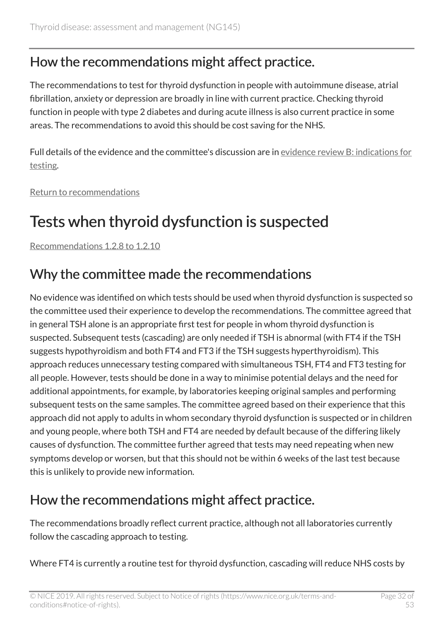### How the recommendations might affect practice.

The recommendations to test for thyroid dysfunction in people with autoimmune disease, atrial fibrillation, anxiety or depression are broadly in line with current practice. Checking thyroid function in people with type 2 diabetes and during acute illness is also current practice in some areas. The recommendations to avoid this should be cost saving for the NHS.

Full details of the evidence and the committee's discussion are in [evidence review B: indications for](https://www.nice.org.uk/guidance/ng145/evidence/b-indications-for-testing-pdf-6967421678) [testing](https://www.nice.org.uk/guidance/ng145/evidence/b-indications-for-testing-pdf-6967421678).

[Return to recommendations](#page-7-1)

## <span id="page-31-0"></span>Tests when thyroid dysfunction is suspected

[Recommendations 1.2.8 to 1.2.10](#page-8-0)

### Why the committee made the recommendations

No evidence was identified on which tests should be used when thyroid dysfunction is suspected so the committee used their experience to develop the recommendations. The committee agreed that in general TSH alone is an appropriate first test for people in whom thyroid dysfunction is suspected. Subsequent tests (cascading) are only needed if TSH is abnormal (with FT4 if the TSH suggests hypothyroidism and both FT4 and FT3 if the TSH suggests hyperthyroidism). This approach reduces unnecessary testing compared with simultaneous TSH, FT4 and FT3 testing for all people. However, tests should be done in a way to minimise potential delays and the need for additional appointments, for example, by laboratories keeping original samples and performing subsequent tests on the same samples. The committee agreed based on their experience that this approach did not apply to adults in whom secondary thyroid dysfunction is suspected or in children and young people, where both TSH and FT4 are needed by default because of the differing likely causes of dysfunction. The committee further agreed that tests may need repeating when new symptoms develop or worsen, but that this should not be within 6 weeks of the last test because this is unlikely to provide new information.

### How the recommendations might affect practice.

The recommendations broadly reflect current practice, although not all laboratories currently follow the cascading approach to testing.

Where FT4 is currently a routine test for thyroid dysfunction, cascading will reduce NHS costs by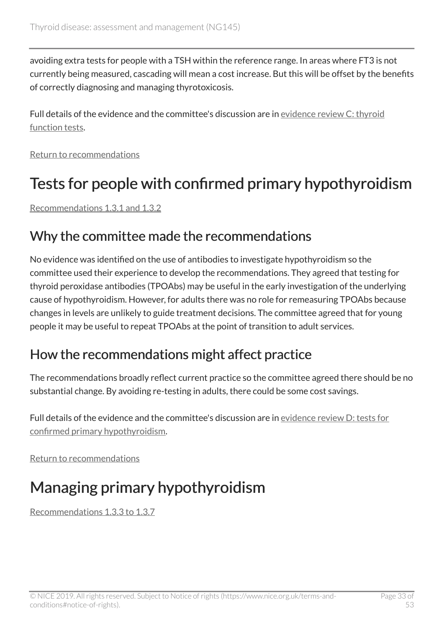avoiding extra tests for people with a TSH within the reference range. In areas where FT3 is not currently being measured, cascading will mean a cost increase. But this will be offset by the benefits of correctly diagnosing and managing thyrotoxicosis.

Full details of the evidence and the committee's discussion are in [evidence review C: thyroid](https://www.nice.org.uk/guidance/ng145/evidence/c-thyroid-function-tests-pdf-6967421679) [function tests.](https://www.nice.org.uk/guidance/ng145/evidence/c-thyroid-function-tests-pdf-6967421679)

[Return to recommendations](#page-8-0)

## <span id="page-32-0"></span>Tests for people with confirmed primary hypothyroidism

[Recommendations 1.3.1 and 1.3.2](#page-9-1)

### Why the committee made the recommendations

No evidence was identified on the use of antibodies to investigate hypothyroidism so the committee used their experience to develop the recommendations. They agreed that testing for thyroid peroxidase antibodies (TPOAbs) may be useful in the early investigation of the underlying cause of hypothyroidism. However, for adults there was no role for remeasuring TPOAbs because changes in levels are unlikely to guide treatment decisions. The committee agreed that for young people it may be useful to repeat TPOAbs at the point of transition to adult services.

### How the recommendations might affect practice

The recommendations broadly reflect current practice so the committee agreed there should be no substantial change. By avoiding re-testing in adults, there could be some cost savings.

Full details of the evidence and the committee's discussion are in [evidence review D: tests for](https://www.nice.org.uk/guidance/ng145/evidence/d-tests-for-confirmed-primary-hypothyroidism-pdf-6967421680) [confirmed primary hypothyroidism.](https://www.nice.org.uk/guidance/ng145/evidence/d-tests-for-confirmed-primary-hypothyroidism-pdf-6967421680)

[Return to recommendations](#page-9-1)

## <span id="page-32-1"></span>Managing primary hypothyroidism

[Recommendations 1.3.3 to 1.3.7](#page-9-2)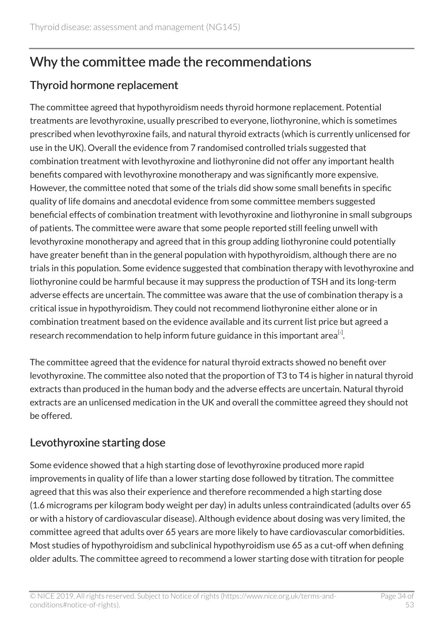### Why the committee made the recommendations

#### Thyroid hormone replacement

The committee agreed that hypothyroidism needs thyroid hormone replacement. Potential treatments are levothyroxine, usually prescribed to everyone, liothyronine, which is sometimes prescribed when levothyroxine fails, and natural thyroid extracts (which is currently unlicensed for use in the UK). Overall the evidence from 7 randomised controlled trials suggested that combination treatment with levothyroxine and liothyronine did not offer any important health benefits compared with levothyroxine monotherapy and was significantly more expensive. However, the committee noted that some of the trials did show some small benefits in specific quality of life domains and anecdotal evidence from some committee members suggested beneficial effects of combination treatment with levothyroxine and liothyronine in small subgroups of patients. The committee were aware that some people reported still feeling unwell with levothyroxine monotherapy and agreed that in this group adding liothyronine could potentially have greater benefit than in the general population with hypothyroidism, although there are no trials in this population. Some evidence suggested that combination therapy with levothyroxine and liothyronine could be harmful because it may suppress the production of TSH and its long-term adverse effects are uncertain. The committee was aware that the use of combination therapy is a critical issue in hypothyroidism. They could not recommend liothyronine either alone or in combination treatment based on the evidence available and its current list price but agreed a research recommendation to help inform future guidance in this important area $^{\text{\tiny{[s]}}}$ .

<span id="page-33-0"></span>The committee agreed that the evidence for natural thyroid extracts showed no benefit over levothyroxine. The committee also noted that the proportion of T3 to T4 is higher in natural thyroid extracts than produced in the human body and the adverse effects are uncertain. Natural thyroid extracts are an unlicensed medication in the UK and overall the committee agreed they should not be offered.

#### Levothyroxine starting dose

Some evidence showed that a high starting dose of levothyroxine produced more rapid improvements in quality of life than a lower starting dose followed by titration. The committee agreed that this was also their experience and therefore recommended a high starting dose (1.6 micrograms per kilogram body weight per day) in adults unless contraindicated (adults over 65 or with a history of cardiovascular disease). Although evidence about dosing was very limited, the committee agreed that adults over 65 years are more likely to have cardiovascular comorbidities. Most studies of hypothyroidism and subclinical hypothyroidism use 65 as a cut-off when defining older adults. The committee agreed to recommend a lower starting dose with titration for people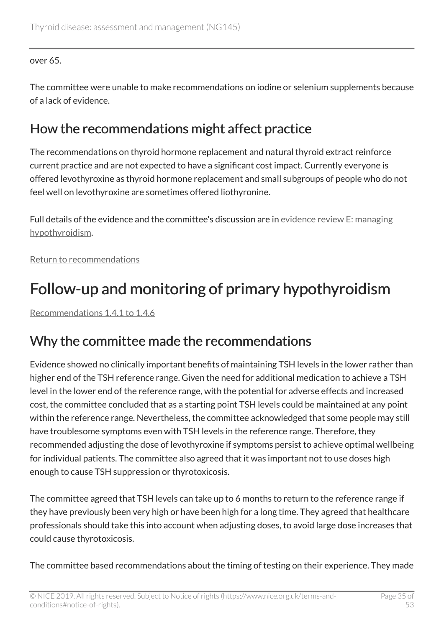#### over 65.

The committee were unable to make recommendations on iodine or selenium supplements because of a lack of evidence.

### How the recommendations might affect practice

The recommendations on thyroid hormone replacement and natural thyroid extract reinforce current practice and are not expected to have a significant cost impact. Currently everyone is offered levothyroxine as thyroid hormone replacement and small subgroups of people who do not feel well on levothyroxine are sometimes offered liothyronine.

Full details of the evidence and the committee's discussion are in [evidence review E: managing](https://www.nice.org.uk/guidance/ng145/evidence/e-management-of-hypothyroidism-pdf-6967421681) [hypothyroidism](https://www.nice.org.uk/guidance/ng145/evidence/e-management-of-hypothyroidism-pdf-6967421681).

[Return to recommendations](#page-9-2)

## <span id="page-34-0"></span>Follow-up and monitoring of primary hypothyroidism

[Recommendations 1.4.1 to 1.4.6](#page-10-2)

### Why the committee made the recommendations

Evidence showed no clinically important benefits of maintaining TSH levels in the lower rather than higher end of the TSH reference range. Given the need for additional medication to achieve a TSH level in the lower end of the reference range, with the potential for adverse effects and increased cost, the committee concluded that as a starting point TSH levels could be maintained at any point within the reference range. Nevertheless, the committee acknowledged that some people may still have troublesome symptoms even with TSH levels in the reference range. Therefore, they recommended adjusting the dose of levothyroxine if symptoms persist to achieve optimal wellbeing for individual patients. The committee also agreed that it was important not to use doses high enough to cause TSH suppression or thyrotoxicosis.

The committee agreed that TSH levels can take up to 6 months to return to the reference range if they have previously been very high or have been high for a long time. They agreed that healthcare professionals should take this into account when adjusting doses, to avoid large dose increases that could cause thyrotoxicosis.

The committee based recommendations about the timing of testing on their experience. They made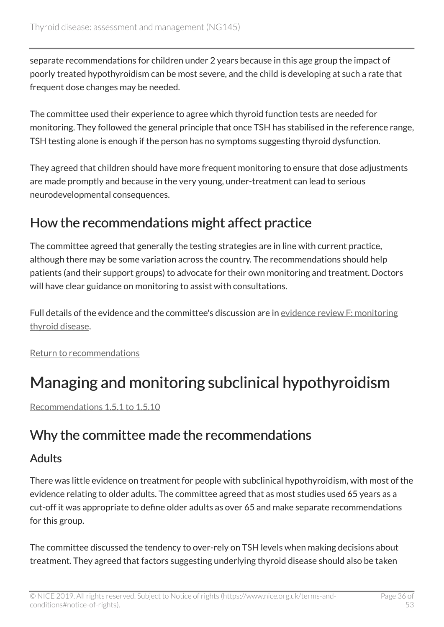separate recommendations for children under 2 years because in this age group the impact of poorly treated hypothyroidism can be most severe, and the child is developing at such a rate that frequent dose changes may be needed.

The committee used their experience to agree which thyroid function tests are needed for monitoring. They followed the general principle that once TSH has stabilised in the reference range, TSH testing alone is enough if the person has no symptoms suggesting thyroid dysfunction.

They agreed that children should have more frequent monitoring to ensure that dose adjustments are made promptly and because in the very young, under-treatment can lead to serious neurodevelopmental consequences.

### How the recommendations might affect practice

The committee agreed that generally the testing strategies are in line with current practice, although there may be some variation across the country. The recommendations should help patients (and their support groups) to advocate for their own monitoring and treatment. Doctors will have clear guidance on monitoring to assist with consultations.

Full details of the evidence and the committee's discussion are in [evidence review F: monitoring](https://www.nice.org.uk/guidance/ng145/evidence/f-monitoring-thyroid-disease-pdf-6967421682) [thyroid disease.](https://www.nice.org.uk/guidance/ng145/evidence/f-monitoring-thyroid-disease-pdf-6967421682)

[Return to recommendations](#page-10-2)

## <span id="page-35-0"></span>Managing and monitoring subclinical hypothyroidism

[Recommendations 1.5.1 to 1.5.10](#page-12-1)

### Why the committee made the recommendations

#### Adults

There was little evidence on treatment for people with subclinical hypothyroidism, with most of the evidence relating to older adults. The committee agreed that as most studies used 65 years as a cut-off it was appropriate to define older adults as over 65 and make separate recommendations for this group.

The committee discussed the tendency to over-rely on TSH levels when making decisions about treatment. They agreed that factors suggesting underlying thyroid disease should also be taken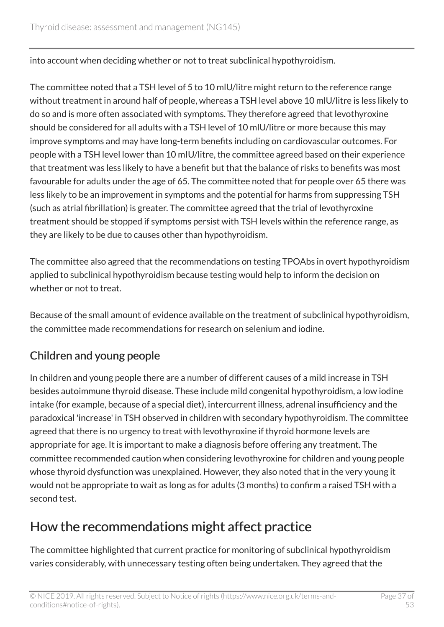into account when deciding whether or not to treat subclinical hypothyroidism.

The committee noted that a TSH level of 5 to 10 mlU/litre might return to the reference range without treatment in around half of people, whereas a TSH level above 10 mlU/litre is less likely to do so and is more often associated with symptoms. They therefore agreed that levothyroxine should be considered for all adults with a TSH level of 10 mlU/litre or more because this may improve symptoms and may have long-term benefits including on cardiovascular outcomes. For people with a TSH level lower than 10 mIU/litre, the committee agreed based on their experience that treatment was less likely to have a benefit but that the balance of risks to benefits was most favourable for adults under the age of 65. The committee noted that for people over 65 there was less likely to be an improvement in symptoms and the potential for harms from suppressing TSH (such as atrial fibrillation) is greater. The committee agreed that the trial of levothyroxine treatment should be stopped if symptoms persist with TSH levels within the reference range, as they are likely to be due to causes other than hypothyroidism.

The committee also agreed that the recommendations on testing TPOAbs in overt hypothyroidism applied to subclinical hypothyroidism because testing would help to inform the decision on whether or not to treat.

Because of the small amount of evidence available on the treatment of subclinical hypothyroidism, the committee made recommendations for research on selenium and iodine.

#### Children and young people

In children and young people there are a number of different causes of a mild increase in TSH besides autoimmune thyroid disease. These include mild congenital hypothyroidism, a low iodine intake (for example, because of a special diet), intercurrent illness, adrenal insufficiency and the paradoxical 'increase' in TSH observed in children with secondary hypothyroidism. The committee agreed that there is no urgency to treat with levothyroxine if thyroid hormone levels are appropriate for age. It is important to make a diagnosis before offering any treatment. The committee recommended caution when considering levothyroxine for children and young people whose thyroid dysfunction was unexplained. However, they also noted that in the very young it would not be appropriate to wait as long as for adults (3 months) to confirm a raised TSH with a second test.

### How the recommendations might affect practice

The committee highlighted that current practice for monitoring of subclinical hypothyroidism varies considerably, with unnecessary testing often being undertaken. They agreed that the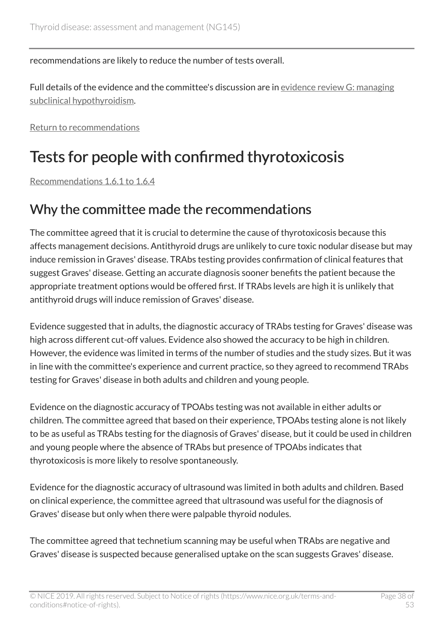recommendations are likely to reduce the number of tests overall.

Full details of the evidence and the committee's discussion are in [evidence review G: managing](https://www.nice.org.uk/guidance/ng145/evidence/g-management-of-subclinical-hypothyroidism-pdf-6967421683) [subclinical hypothyroidism.](https://www.nice.org.uk/guidance/ng145/evidence/g-management-of-subclinical-hypothyroidism-pdf-6967421683)

[Return to recommendations](#page-12-1)

## <span id="page-37-0"></span>Tests for people with confirmed thyrotoxicosis

[Recommendations 1.6.1 to 1.6.4](#page-14-1)

### Why the committee made the recommendations

The committee agreed that it is crucial to determine the cause of thyrotoxicosis because this affects management decisions. Antithyroid drugs are unlikely to cure toxic nodular disease but may induce remission in Graves' disease. TRAbs testing provides confirmation of clinical features that suggest Graves' disease. Getting an accurate diagnosis sooner benefits the patient because the appropriate treatment options would be offered first. If TRAbs levels are high it is unlikely that antithyroid drugs will induce remission of Graves' disease.

Evidence suggested that in adults, the diagnostic accuracy of TRAbs testing for Graves' disease was high across different cut-off values. Evidence also showed the accuracy to be high in children. However, the evidence was limited in terms of the number of studies and the study sizes. But it was in line with the committee's experience and current practice, so they agreed to recommend TRAbs testing for Graves' disease in both adults and children and young people.

Evidence on the diagnostic accuracy of TPOAbs testing was not available in either adults or children. The committee agreed that based on their experience, TPOAbs testing alone is not likely to be as useful as TRAbs testing for the diagnosis of Graves' disease, but it could be used in children and young people where the absence of TRAbs but presence of TPOAbs indicates that thyrotoxicosis is more likely to resolve spontaneously.

Evidence for the diagnostic accuracy of ultrasound was limited in both adults and children. Based on clinical experience, the committee agreed that ultrasound was useful for the diagnosis of Graves' disease but only when there were palpable thyroid nodules.

The committee agreed that technetium scanning may be useful when TRAbs are negative and Graves' disease is suspected because generalised uptake on the scan suggests Graves' disease.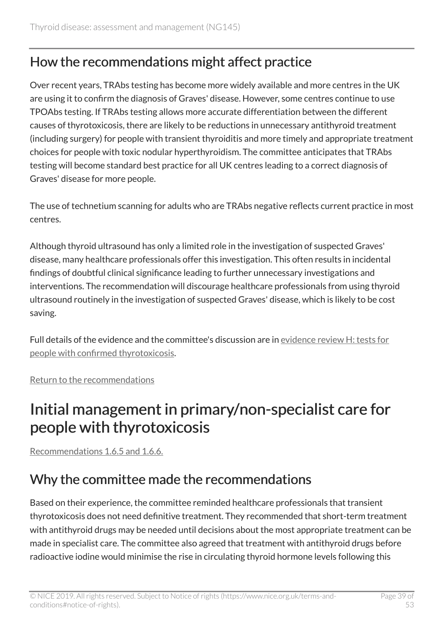### How the recommendations might affect practice

Over recent years, TRAbs testing has become more widely available and more centres in the UK are using it to confirm the diagnosis of Graves' disease. However, some centres continue to use TPOAbs testing. If TRAbs testing allows more accurate differentiation between the different causes of thyrotoxicosis, there are likely to be reductions in unnecessary antithyroid treatment (including surgery) for people with transient thyroiditis and more timely and appropriate treatment choices for people with toxic nodular hyperthyroidism. The committee anticipates that TRAbs testing will become standard best practice for all UK centres leading to a correct diagnosis of Graves' disease for more people.

The use of technetium scanning for adults who are TRAbs negative reflects current practice in most centres.

Although thyroid ultrasound has only a limited role in the investigation of suspected Graves' disease, many healthcare professionals offer this investigation. This often results in incidental findings of doubtful clinical significance leading to further unnecessary investigations and interventions. The recommendation will discourage healthcare professionals from using thyroid ultrasound routinely in the investigation of suspected Graves' disease, which is likely to be cost saving.

Full details of the evidence and the committee's discussion are in [evidence review H: tests for](https://www.nice.org.uk/guidance/ng145/evidence/h-tests-for-people-with-confirmed-thyrotoxicosis-pdf-6967421684) [people with confirmed thyrotoxicosis.](https://www.nice.org.uk/guidance/ng145/evidence/h-tests-for-people-with-confirmed-thyrotoxicosis-pdf-6967421684)

[Return to the recommendations](#page-14-1)

## <span id="page-38-0"></span>Initial management in primary/non-specialist care for people with thyrotoxicosis

[Recommendations 1.6.5 and 1.6.6.](#page-15-1)

### Why the committee made the recommendations

Based on their experience, the committee reminded healthcare professionals that transient thyrotoxicosis does not need definitive treatment. They recommended that short-term treatment with antithyroid drugs may be needed until decisions about the most appropriate treatment can be made in specialist care. The committee also agreed that treatment with antithyroid drugs before radioactive iodine would minimise the rise in circulating thyroid hormone levels following this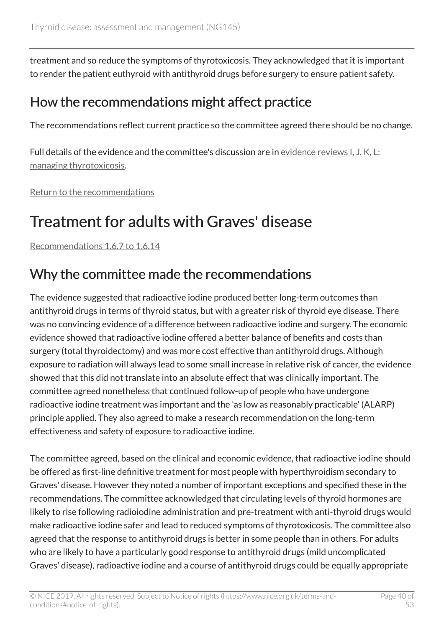treatment and so reduce the symptoms of thyrotoxicosis. They acknowledged that it is important to render the patient euthyroid with antithyroid drugs before surgery to ensure patient safety.

### How the recommendations might affect practice

The recommendations reflect current practice so the committee agreed there should be no change.

Full details of the evidence and the committee's discussion are in [evidence reviews I, J, K, L:](https://www.nice.org.uk/guidance/ng145/evidence) [managing thyrotoxicosis](https://www.nice.org.uk/guidance/ng145/evidence).

[Return to the recommendations](#page-15-1)

## <span id="page-39-0"></span>Treatment for adults with Graves' disease

[Recommendations 1.6.7 to 1.6.14](#page-15-2)

### Why the committee made the recommendations

The evidence suggested that radioactive iodine produced better long-term outcomes than antithyroid drugs in terms of thyroid status, but with a greater risk of thyroid eye disease. There was no convincing evidence of a difference between radioactive iodine and surgery. The economic evidence showed that radioactive iodine offered a better balance of benefits and costs than surgery (total thyroidectomy) and was more cost effective than antithyroid drugs. Although exposure to radiation will always lead to some small increase in relative risk of cancer, the evidence showed that this did not translate into an absolute effect that was clinically important. The committee agreed nonetheless that continued follow-up of people who have undergone radioactive iodine treatment was important and the 'as low as reasonably practicable' (ALARP) principle applied. They also agreed to make a research recommendation on the long-term effectiveness and safety of exposure to radioactive iodine.

The committee agreed, based on the clinical and economic evidence, that radioactive iodine should be offered as first-line definitive treatment for most people with hyperthyroidism secondary to Graves' disease. However they noted a number of important exceptions and specified these in the recommendations. The committee acknowledged that circulating levels of thyroid hormones are likely to rise following radioiodine administration and pre-treatment with anti-thyroid drugs would make radioactive iodine safer and lead to reduced symptoms of thyrotoxicosis. The committee also agreed that the response to antithyroid drugs is better in some people than in others. For adults who are likely to have a particularly good response to antithyroid drugs (mild uncomplicated Graves' disease), radioactive iodine and a course of antithyroid drugs could be equally appropriate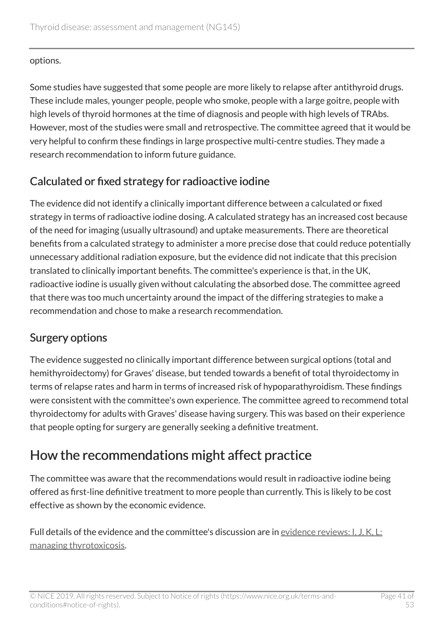options.

Some studies have suggested that some people are more likely to relapse after antithyroid drugs. These include males, younger people, people who smoke, people with a large goitre, people with high levels of thyroid hormones at the time of diagnosis and people with high levels of TRAbs. However, most of the studies were small and retrospective. The committee agreed that it would be very helpful to confirm these findings in large prospective multi-centre studies. They made a research recommendation to inform future guidance.

#### Calculated or fixed strategy for radioactive iodine

The evidence did not identify a clinically important difference between a calculated or fixed strategy in terms of radioactive iodine dosing. A calculated strategy has an increased cost because of the need for imaging (usually ultrasound) and uptake measurements. There are theoretical benefits from a calculated strategy to administer a more precise dose that could reduce potentially unnecessary additional radiation exposure, but the evidence did not indicate that this precision translated to clinically important benefits. The committee's experience is that, in the UK, radioactive iodine is usually given without calculating the absorbed dose. The committee agreed that there was too much uncertainty around the impact of the differing strategies to make a recommendation and chose to make a research recommendation.

#### Surgery options

The evidence suggested no clinically important difference between surgical options (total and hemithyroidectomy) for Graves' disease, but tended towards a benefit of total thyroidectomy in terms of relapse rates and harm in terms of increased risk of hypoparathyroidism. These findings were consistent with the committee's own experience. The committee agreed to recommend total thyroidectomy for adults with Graves' disease having surgery. This was based on their experience that people opting for surgery are generally seeking a definitive treatment.

### How the recommendations might affect practice

The committee was aware that the recommendations would result in radioactive iodine being offered as first-line definitive treatment to more people than currently. This is likely to be cost effective as shown by the economic evidence.

Full details of the evidence and the committee's discussion are in [evidence reviews: I, J, K, L:](https://www.nice.org.uk/guidance/ng145/evidence) [managing thyrotoxicosis](https://www.nice.org.uk/guidance/ng145/evidence).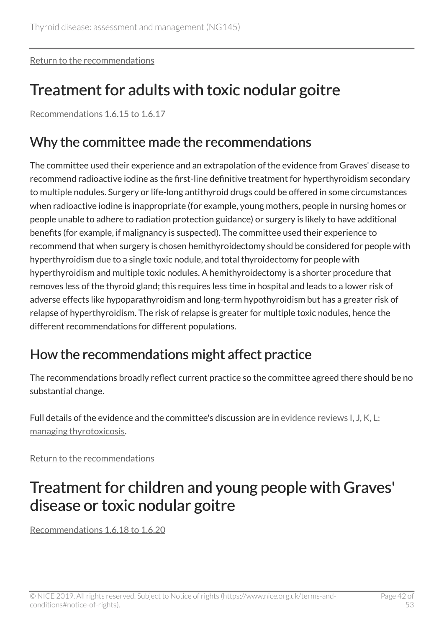[Return to the recommendations](#page-15-2)

## <span id="page-41-0"></span>Treatment for adults with toxic nodular goitre

[Recommendations 1.6.15 to 1.6.17](#page-17-0)

### Why the committee made the recommendations

The committee used their experience and an extrapolation of the evidence from Graves' disease to recommend radioactive iodine as the first-line definitive treatment for hyperthyroidism secondary to multiple nodules. Surgery or life-long antithyroid drugs could be offered in some circumstances when radioactive iodine is inappropriate (for example, young mothers, people in nursing homes or people unable to adhere to radiation protection guidance) or surgery is likely to have additional benefits (for example, if malignancy is suspected). The committee used their experience to recommend that when surgery is chosen hemithyroidectomy should be considered for people with hyperthyroidism due to a single toxic nodule, and total thyroidectomy for people with hyperthyroidism and multiple toxic nodules. A hemithyroidectomy is a shorter procedure that removes less of the thyroid gland; this requires less time in hospital and leads to a lower risk of adverse effects like hypoparathyroidism and long-term hypothyroidism but has a greater risk of relapse of hyperthyroidism. The risk of relapse is greater for multiple toxic nodules, hence the different recommendations for different populations.

### How the recommendations might affect practice

The recommendations broadly reflect current practice so the committee agreed there should be no substantial change.

Full details of the evidence and the committee's discussion are in [evidence reviews I, J, K, L:](https://www.nice.org.uk/guidance/ng145/evidence) [managing thyrotoxicosis](https://www.nice.org.uk/guidance/ng145/evidence).

[Return to the recommendations](#page-16-2)

## <span id="page-41-1"></span>Treatment for children and young people with Graves' disease or toxic nodular goitre

[Recommendations 1.6.18 to 1.6.20](#page-17-1)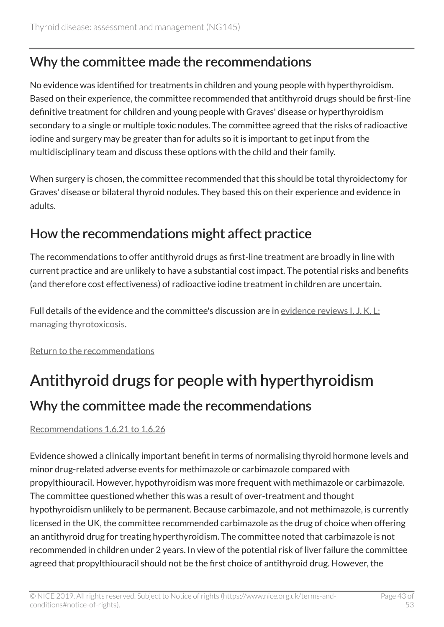### Why the committee made the recommendations

No evidence was identified for treatments in children and young people with hyperthyroidism. Based on their experience, the committee recommended that antithyroid drugs should be first-line definitive treatment for children and young people with Graves' disease or hyperthyroidism secondary to a single or multiple toxic nodules. The committee agreed that the risks of radioactive iodine and surgery may be greater than for adults so it is important to get input from the multidisciplinary team and discuss these options with the child and their family.

When surgery is chosen, the committee recommended that this should be total thyroidectomy for Graves' disease or bilateral thyroid nodules. They based this on their experience and evidence in adults.

### How the recommendations might affect practice

The recommendations to offer antithyroid drugs as first-line treatment are broadly in line with current practice and are unlikely to have a substantial cost impact. The potential risks and benefits (and therefore cost effectiveness) of radioactive iodine treatment in children are uncertain.

Full details of the evidence and the committee's discussion are in [evidence reviews I, J, K, L:](https://www.nice.org.uk/guidance/ng145/evidence) [managing thyrotoxicosis](https://www.nice.org.uk/guidance/ng145/evidence).

[Return to the recommendations](#page-17-1)

# <span id="page-42-0"></span>Antithyroid drugs for people with hyperthyroidism

### Why the committee made the recommendations

#### [Recommendations 1.6.21 to 1.6.26](#page-18-0)

Evidence showed a clinically important benefit in terms of normalising thyroid hormone levels and minor drug-related adverse events for methimazole or carbimazole compared with propylthiouracil. However, hypothyroidism was more frequent with methimazole or carbimazole. The committee questioned whether this was a result of over-treatment and thought hypothyroidism unlikely to be permanent. Because carbimazole, and not methimazole, is currently licensed in the UK, the committee recommended carbimazole as the drug of choice when offering an antithyroid drug for treating hyperthyroidism. The committee noted that carbimazole is not recommended in children under 2 years. In view of the potential risk of liver failure the committee agreed that propylthiouracil should not be the first choice of antithyroid drug. However, the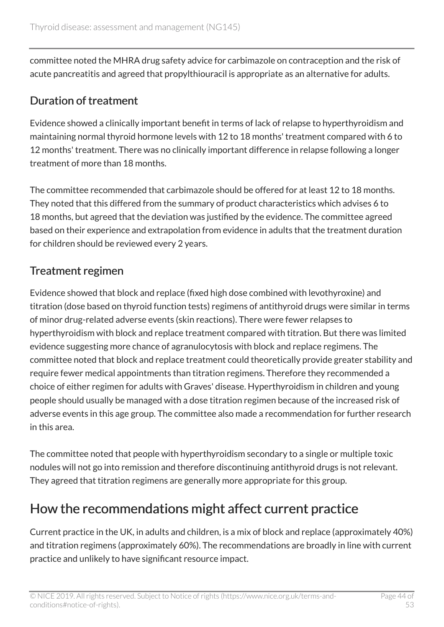committee noted the MHRA drug safety advice for carbimazole on contraception and the risk of acute pancreatitis and agreed that propylthiouracil is appropriate as an alternative for adults.

#### Duration of treatment

Evidence showed a clinically important benefit in terms of lack of relapse to hyperthyroidism and maintaining normal thyroid hormone levels with 12 to 18 months' treatment compared with 6 to 12 months' treatment. There was no clinically important difference in relapse following a longer treatment of more than 18 months.

The committee recommended that carbimazole should be offered for at least 12 to 18 months. They noted that this differed from the summary of product characteristics which advises 6 to 18 months, but agreed that the deviation was justified by the evidence. The committee agreed based on their experience and extrapolation from evidence in adults that the treatment duration for children should be reviewed every 2 years.

#### Treatment regimen

Evidence showed that block and replace (fixed high dose combined with levothyroxine) and titration (dose based on thyroid function tests) regimens of antithyroid drugs were similar in terms of minor drug-related adverse events (skin reactions). There were fewer relapses to hyperthyroidism with block and replace treatment compared with titration. But there was limited evidence suggesting more chance of agranulocytosis with block and replace regimens. The committee noted that block and replace treatment could theoretically provide greater stability and require fewer medical appointments than titration regimens. Therefore they recommended a choice of either regimen for adults with Graves' disease. Hyperthyroidism in children and young people should usually be managed with a dose titration regimen because of the increased risk of adverse events in this age group. The committee also made a recommendation for further research in this area.

The committee noted that people with hyperthyroidism secondary to a single or multiple toxic nodules will not go into remission and therefore discontinuing antithyroid drugs is not relevant. They agreed that titration regimens are generally more appropriate for this group.

### How the recommendations might affect current practice

Current practice in the UK, in adults and children, is a mix of block and replace (approximately 40%) and titration regimens (approximately 60%). The recommendations are broadly in line with current practice and unlikely to have significant resource impact.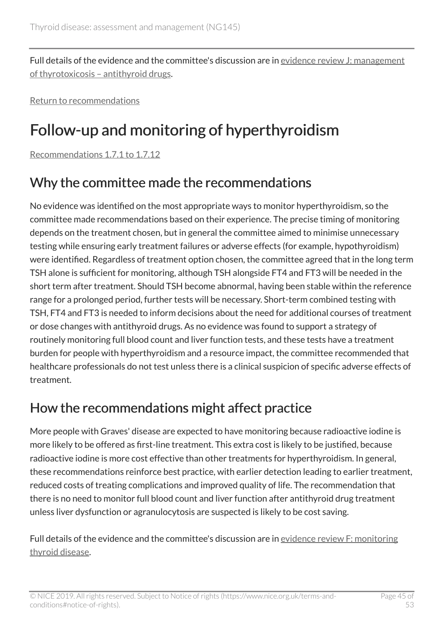Full details of the evidence and the committee's discussion are in [evidence review J: management](https://www.nice.org.uk/guidance/ng145/evidence/j-management-of-thyrotoxicosis-anti-thyroid-drugs-pdf-250827180372) [of thyrotoxicosis – antithyroid drugs](https://www.nice.org.uk/guidance/ng145/evidence/j-management-of-thyrotoxicosis-anti-thyroid-drugs-pdf-250827180372).

[Return to recommendations](#page-18-0)

## <span id="page-44-0"></span>Follow-up and monitoring of hyperthyroidism

[Recommendations 1.7.1 to 1.7.12](#page-19-1)

### Why the committee made the recommendations

No evidence was identified on the most appropriate ways to monitor hyperthyroidism, so the committee made recommendations based on their experience. The precise timing of monitoring depends on the treatment chosen, but in general the committee aimed to minimise unnecessary testing while ensuring early treatment failures or adverse effects (for example, hypothyroidism) were identified. Regardless of treatment option chosen, the committee agreed that in the long term TSH alone is sufficient for monitoring, although TSH alongside FT4 and FT3 will be needed in the short term after treatment. Should TSH become abnormal, having been stable within the reference range for a prolonged period, further tests will be necessary. Short-term combined testing with TSH, FT4 and FT3 is needed to inform decisions about the need for additional courses of treatment or dose changes with antithyroid drugs. As no evidence was found to support a strategy of routinely monitoring full blood count and liver function tests, and these tests have a treatment burden for people with hyperthyroidism and a resource impact, the committee recommended that healthcare professionals do not test unless there is a clinical suspicion of specific adverse effects of treatment.

### How the recommendations might affect practice

More people with Graves' disease are expected to have monitoring because radioactive iodine is more likely to be offered as first-line treatment. This extra cost is likely to be justified, because radioactive iodine is more cost effective than other treatments for hyperthyroidism. In general, these recommendations reinforce best practice, with earlier detection leading to earlier treatment, reduced costs of treating complications and improved quality of life. The recommendation that there is no need to monitor full blood count and liver function after antithyroid drug treatment unless liver dysfunction or agranulocytosis are suspected is likely to be cost saving.

Full details of the evidence and the committee's discussion are in [evidence review F: monitoring](https://www.nice.org.uk/guidance/ng145/evidence/f-monitoring-thyroid-disease-pdf-6967421682) [thyroid disease.](https://www.nice.org.uk/guidance/ng145/evidence/f-monitoring-thyroid-disease-pdf-6967421682)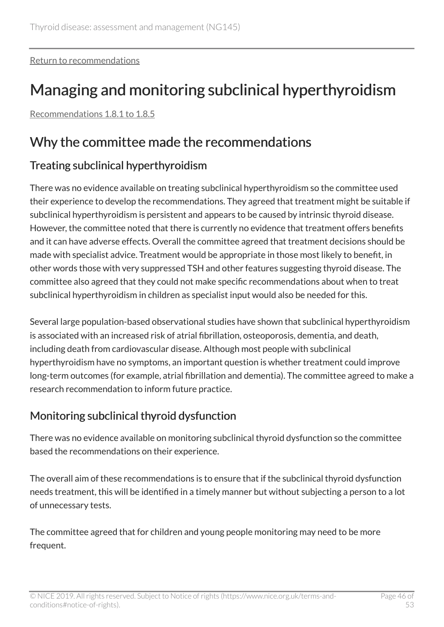[Return to recommendations](#page-19-1)

## <span id="page-45-0"></span>Managing and monitoring subclinical hyperthyroidism

[Recommendations 1.8.1 to 1.8.5](#page-21-1)

### Why the committee made the recommendations

#### Treating subclinical hyperthyroidism

There was no evidence available on treating subclinical hyperthyroidism so the committee used their experience to develop the recommendations. They agreed that treatment might be suitable if subclinical hyperthyroidism is persistent and appears to be caused by intrinsic thyroid disease. However, the committee noted that there is currently no evidence that treatment offers benefits and it can have adverse effects. Overall the committee agreed that treatment decisions should be made with specialist advice. Treatment would be appropriate in those most likely to benefit, in other words those with very suppressed TSH and other features suggesting thyroid disease. The committee also agreed that they could not make specific recommendations about when to treat subclinical hyperthyroidism in children as specialist input would also be needed for this.

Several large population-based observational studies have shown that subclinical hyperthyroidism is associated with an increased risk of atrial fibrillation, osteoporosis, dementia, and death, including death from cardiovascular disease. Although most people with subclinical hyperthyroidism have no symptoms, an important question is whether treatment could improve long-term outcomes (for example, atrial fibrillation and dementia). The committee agreed to make a research recommendation to inform future practice.

#### Monitoring subclinical thyroid dysfunction

There was no evidence available on monitoring subclinical thyroid dysfunction so the committee based the recommendations on their experience.

The overall aim of these recommendations is to ensure that if the subclinical thyroid dysfunction needs treatment, this will be identified in a timely manner but without subjecting a person to a lot of unnecessary tests.

The committee agreed that for children and young people monitoring may need to be more frequent.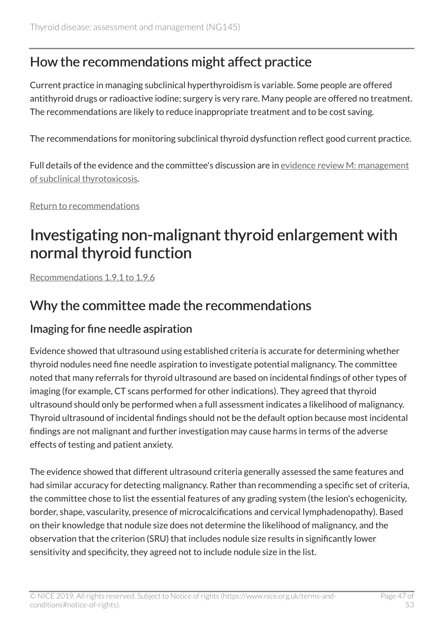### How the recommendations might affect practice

Current practice in managing subclinical hyperthyroidism is variable. Some people are offered antithyroid drugs or radioactive iodine; surgery is very rare. Many people are offered no treatment. The recommendations are likely to reduce inappropriate treatment and to be cost saving.

The recommendations for monitoring subclinical thyroid dysfunction reflect good current practice.

Full details of the evidence and the committee's discussion are in [evidence review M: management](https://www.nice.org.uk/guidance/ng145/evidence/m-management-of-subclinical-thyrotoxicosis-pdf-250827180375) [of subclinical thyrotoxicosis](https://www.nice.org.uk/guidance/ng145/evidence/m-management-of-subclinical-thyrotoxicosis-pdf-250827180375).

[Return to recommendations](#page-21-1)

## <span id="page-46-0"></span>Investigating non-malignant thyroid enlargement with normal thyroid function

[Recommendations 1.9.1 to 1.9.6](#page-22-1)

### Why the committee made the recommendations

#### Imaging for fine needle aspiration

Evidence showed that ultrasound using established criteria is accurate for determining whether thyroid nodules need fine needle aspiration to investigate potential malignancy. The committee noted that many referrals for thyroid ultrasound are based on incidental findings of other types of imaging (for example, CT scans performed for other indications). They agreed that thyroid ultrasound should only be performed when a full assessment indicates a likelihood of malignancy. Thyroid ultrasound of incidental findings should not be the default option because most incidental findings are not malignant and further investigation may cause harms in terms of the adverse effects of testing and patient anxiety.

The evidence showed that different ultrasound criteria generally assessed the same features and had similar accuracy for detecting malignancy. Rather than recommending a specific set of criteria, the committee chose to list the essential features of any grading system (the lesion's echogenicity, border, shape, vascularity, presence of microcalcifications and cervical lymphadenopathy). Based on their knowledge that nodule size does not determine the likelihood of malignancy, and the observation that the criterion (SRU) that includes nodule size results in significantly lower sensitivity and specificity, they agreed not to include nodule size in the list.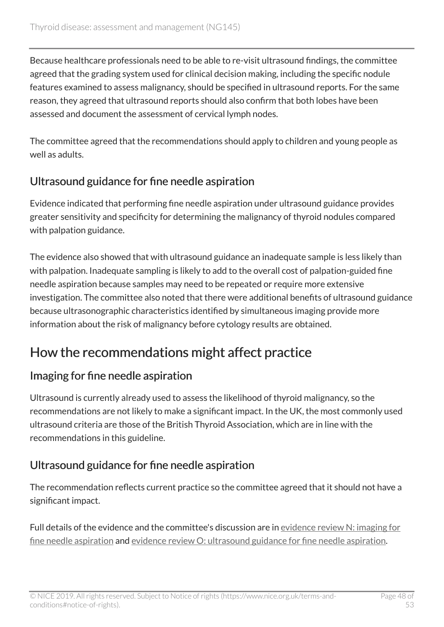Because healthcare professionals need to be able to re-visit ultrasound findings, the committee agreed that the grading system used for clinical decision making, including the specific nodule features examined to assess malignancy, should be specified in ultrasound reports. For the same reason, they agreed that ultrasound reports should also confirm that both lobes have been assessed and document the assessment of cervical lymph nodes.

The committee agreed that the recommendations should apply to children and young people as well as adults.

#### Ultrasound guidance for fine needle aspiration

Evidence indicated that performing fine needle aspiration under ultrasound guidance provides greater sensitivity and specificity for determining the malignancy of thyroid nodules compared with palpation guidance.

The evidence also showed that with ultrasound guidance an inadequate sample is less likely than with palpation. Inadequate sampling is likely to add to the overall cost of palpation-guided fine needle aspiration because samples may need to be repeated or require more extensive investigation. The committee also noted that there were additional benefits of ultrasound guidance because ultrasonographic characteristics identified by simultaneous imaging provide more information about the risk of malignancy before cytology results are obtained.

## How the recommendations might affect practice

#### Imaging for fine needle aspiration

Ultrasound is currently already used to assess the likelihood of thyroid malignancy, so the recommendations are not likely to make a significant impact. In the UK, the most commonly used ultrasound criteria are those of the British Thyroid Association, which are in line with the recommendations in this guideline.

#### Ultrasound guidance for fine needle aspiration

The recommendation reflects current practice so the committee agreed that it should not have a significant impact.

Full details of the evidence and the committee's discussion are in [evidence review N: imaging for](https://www.nice.org.uk/guidance/ng145/evidence/n-imaging-for-fine-needle-aspiration-pdf-250827180376) [fine needle aspiration](https://www.nice.org.uk/guidance/ng145/evidence/n-imaging-for-fine-needle-aspiration-pdf-250827180376) and [evidence review O: ultrasound guidance for fine needle aspiration](https://www.nice.org.uk/guidance/ng145/evidence/o-ultrasound-guidance-for-fine-needle-aspiration-pdf-250827180377).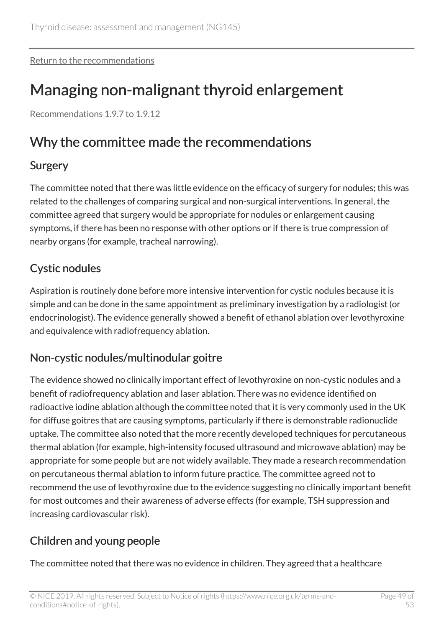[Return to the recommendations](#page-22-1)

## <span id="page-48-0"></span>Managing non-malignant thyroid enlargement

[Recommendations 1.9.7 to 1.9.12](#page-23-0)

### Why the committee made the recommendations

#### **Surgery**

The committee noted that there was little evidence on the efficacy of surgery for nodules; this was related to the challenges of comparing surgical and non-surgical interventions. In general, the committee agreed that surgery would be appropriate for nodules or enlargement causing symptoms, if there has been no response with other options or if there is true compression of nearby organs (for example, tracheal narrowing).

#### Cystic nodules

Aspiration is routinely done before more intensive intervention for cystic nodules because it is simple and can be done in the same appointment as preliminary investigation by a radiologist (or endocrinologist). The evidence generally showed a benefit of ethanol ablation over levothyroxine and equivalence with radiofrequency ablation.

#### Non-cystic nodules/multinodular goitre

The evidence showed no clinically important effect of levothyroxine on non-cystic nodules and a benefit of radiofrequency ablation and laser ablation. There was no evidence identified on radioactive iodine ablation although the committee noted that it is very commonly used in the UK for diffuse goitres that are causing symptoms, particularly if there is demonstrable radionuclide uptake. The committee also noted that the more recently developed techniques for percutaneous thermal ablation (for example, high-intensity focused ultrasound and microwave ablation) may be appropriate for some people but are not widely available. They made a research recommendation on percutaneous thermal ablation to inform future practice. The committee agreed not to recommend the use of levothyroxine due to the evidence suggesting no clinically important benefit for most outcomes and their awareness of adverse effects (for example, TSH suppression and increasing cardiovascular risk).

#### Children and young people

The committee noted that there was no evidence in children. They agreed that a healthcare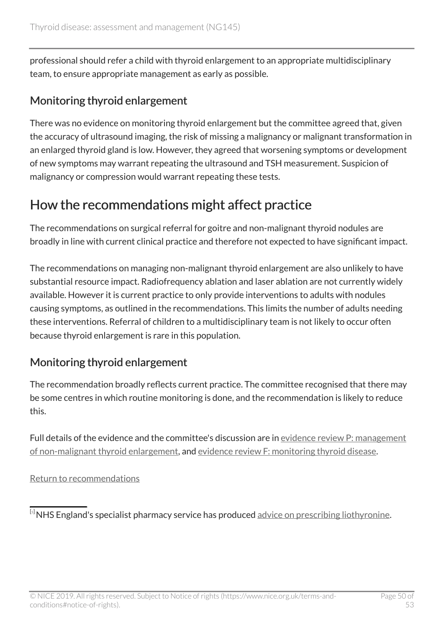professional should refer a child with thyroid enlargement to an appropriate multidisciplinary team, to ensure appropriate management as early as possible.

#### Monitoring thyroid enlargement

There was no evidence on monitoring thyroid enlargement but the committee agreed that, given the accuracy of ultrasound imaging, the risk of missing a malignancy or malignant transformation in an enlarged thyroid gland is low. However, they agreed that worsening symptoms or development of new symptoms may warrant repeating the ultrasound and TSH measurement. Suspicion of malignancy or compression would warrant repeating these tests.

### How the recommendations might affect practice

The recommendations on surgical referral for goitre and non-malignant thyroid nodules are broadly in line with current clinical practice and therefore not expected to have significant impact.

The recommendations on managing non-malignant thyroid enlargement are also unlikely to have substantial resource impact. Radiofrequency ablation and laser ablation are not currently widely available. However it is current practice to only provide interventions to adults with nodules causing symptoms, as outlined in the recommendations. This limits the number of adults needing these interventions. Referral of children to a multidisciplinary team is not likely to occur often because thyroid enlargement is rare in this population.

#### Monitoring thyroid enlargement

The recommendation broadly reflects current practice. The committee recognised that there may be some centres in which routine monitoring is done, and the recommendation is likely to reduce this.

Full details of the evidence and the committee's discussion are in [evidence review P: management](https://www.nice.org.uk/guidance/ng145/evidence/p-management-of-nonmalignant-thyroid-enlargement-pdf-250827180378) [of non-malignant thyroid enlargement](https://www.nice.org.uk/guidance/ng145/evidence/p-management-of-nonmalignant-thyroid-enlargement-pdf-250827180378), and [evidence review F: monitoring thyroid disease.](https://www.nice.org.uk/guidance/ng145/evidence/f-monitoring-thyroid-disease-pdf-6967421682)

[Return to recommendations](#page-23-0)

<span id="page-49-0"></span> $\overline{^{[s]}}$ NHS England's specialist pharmacy service has produced [advice on prescribing liothyronine.](https://www.sps.nhs.uk/wp-content/uploads/2019/07/RMOC-Liothyronine-guidance-V2.6-final-1.pdf)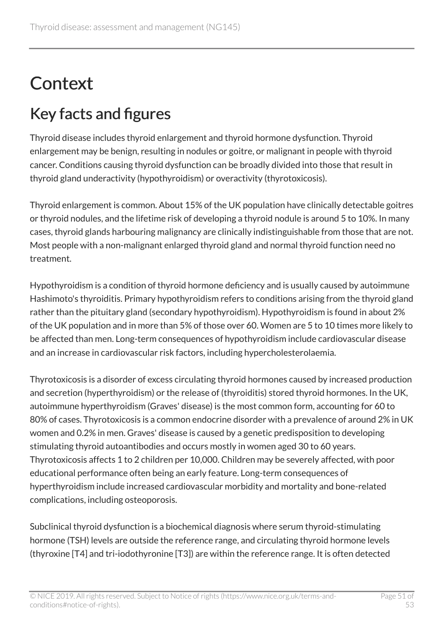# <span id="page-50-0"></span>**Context**

## <span id="page-50-1"></span>Key facts and figures

Thyroid disease includes thyroid enlargement and thyroid hormone dysfunction. Thyroid enlargement may be benign, resulting in nodules or goitre, or malignant in people with thyroid cancer. Conditions causing thyroid dysfunction can be broadly divided into those that result in thyroid gland underactivity (hypothyroidism) or overactivity (thyrotoxicosis).

Thyroid enlargement is common. About 15% of the UK population have clinically detectable goitres or thyroid nodules, and the lifetime risk of developing a thyroid nodule is around 5 to 10%. In many cases, thyroid glands harbouring malignancy are clinically indistinguishable from those that are not. Most people with a non-malignant enlarged thyroid gland and normal thyroid function need no treatment.

Hypothyroidism is a condition of thyroid hormone deficiency and is usually caused by autoimmune Hashimoto's thyroiditis. Primary hypothyroidism refers to conditions arising from the thyroid gland rather than the pituitary gland (secondary hypothyroidism). Hypothyroidism is found in about 2% of the UK population and in more than 5% of those over 60. Women are 5 to 10 times more likely to be affected than men. Long-term consequences of hypothyroidism include cardiovascular disease and an increase in cardiovascular risk factors, including hypercholesterolaemia.

Thyrotoxicosis is a disorder of excess circulating thyroid hormones caused by increased production and secretion (hyperthyroidism) or the release of (thyroiditis) stored thyroid hormones. In the UK, autoimmune hyperthyroidism (Graves' disease) is the most common form, accounting for 60 to 80% of cases. Thyrotoxicosis is a common endocrine disorder with a prevalence of around 2% in UK women and 0.2% in men. Graves' disease is caused by a genetic predisposition to developing stimulating thyroid autoantibodies and occurs mostly in women aged 30 to 60 years. Thyrotoxicosis affects 1 to 2 children per 10,000. Children may be severely affected, with poor educational performance often being an early feature. Long-term consequences of hyperthyroidism include increased cardiovascular morbidity and mortality and bone-related complications, including osteoporosis.

Subclinical thyroid dysfunction is a biochemical diagnosis where serum thyroid-stimulating hormone (TSH) levels are outside the reference range, and circulating thyroid hormone levels (thyroxine [T4] and tri-iodothyronine [T3]) are within the reference range. It is often detected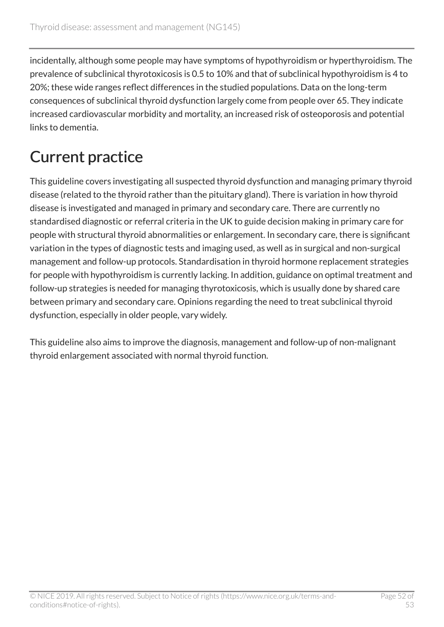incidentally, although some people may have symptoms of hypothyroidism or hyperthyroidism. The prevalence of subclinical thyrotoxicosis is 0.5 to 10% and that of subclinical hypothyroidism is 4 to 20%; these wide ranges reflect differences in the studied populations. Data on the long-term consequences of subclinical thyroid dysfunction largely come from people over 65. They indicate increased cardiovascular morbidity and mortality, an increased risk of osteoporosis and potential links to dementia.

## <span id="page-51-0"></span>Current practice

This guideline covers investigating all suspected thyroid dysfunction and managing primary thyroid disease (related to the thyroid rather than the pituitary gland). There is variation in how thyroid disease is investigated and managed in primary and secondary care. There are currently no standardised diagnostic or referral criteria in the UK to guide decision making in primary care for people with structural thyroid abnormalities or enlargement. In secondary care, there is significant variation in the types of diagnostic tests and imaging used, as well as in surgical and non-surgical management and follow-up protocols. Standardisation in thyroid hormone replacement strategies for people with hypothyroidism is currently lacking. In addition, guidance on optimal treatment and follow-up strategies is needed for managing thyrotoxicosis, which is usually done by shared care between primary and secondary care. Opinions regarding the need to treat subclinical thyroid dysfunction, especially in older people, vary widely.

This guideline also aims to improve the diagnosis, management and follow-up of non-malignant thyroid enlargement associated with normal thyroid function.